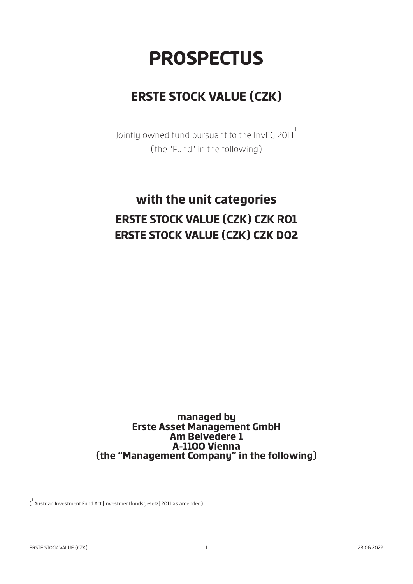# **PROSPECTUS**

## **ERSTE STOCK VALUE (CZK)**

Jointly owned fund pursuant to the InvFG 20 $11^{\frac{1}{1}}$ (the "Fund" in the following)

## **with the unit categories ERSTE STOCK VALUE (CZK) CZK R01 ERSTE STOCK VALUE (CZK) CZK D02**

**managed by Erste Asset Management GmbH Am Belvedere 1 A-1100 Vienna (the "Management Company" in the following)**

 $\overline{\mathcal{C}}^1$  Austrian Investment Fund Act [Investmentfondsgesetz] 2011 as amended)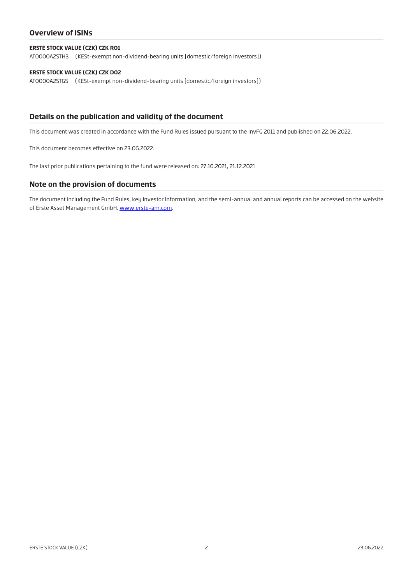## **Overview of ISINs**

#### **ERSTE STOCK VALUE (CZK) CZK R01**

AT0000A2STH3 (KESt-exempt non-dividend-bearing units [domestic/foreign investors])

#### **ERSTE STOCK VALUE (CZK) CZK D02**

AT0000A2STG5 (KESt-exempt non-dividend-bearing units [domestic/foreign investors])

## **Details on the publication and validity of the document**

This document was created in accordance with the Fund Rules issued pursuant to the InvFG 2011 and published on 22.06.2022.

This document becomes effective on 23.06.2022.

The last prior publications pertaining to the fund were released on: 27.10.2021, 21.12.2021

## **Note on the provision of documents**

The document including the Fund Rules, key investor information, and the semi-annual and annual reports can be accessed on the website of Erste Asset Management GmbH, [www.erste-am.com.](https://www.erste-am.com)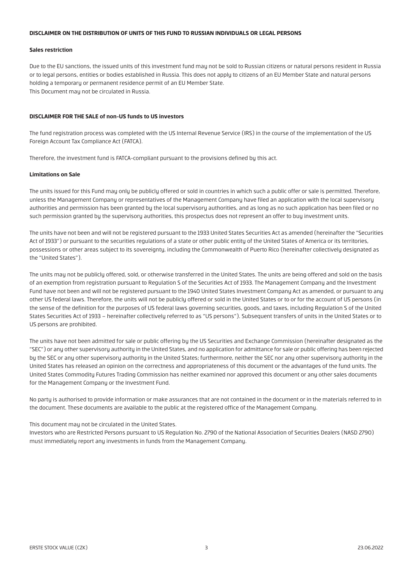#### **DISCLAIMER ON THE DISTRIBUTION OF UNITS OF THIS FUND TO RUSSIAN INDIVIDUALS OR LEGAL PERSONS**

#### **Sales restriction**

Due to the EU sanctions, the issued units of this investment fund may not be sold to Russian citizens or natural persons resident in Russia or to legal persons, entities or bodies established in Russia. This does not apply to citizens of an EU Member State and natural persons holding a temporary or permanent residence permit of an EU Member State. This Document may not be circulated in Russia.

#### **DISCLAIMER FOR THE SALE of non-US funds to US investors**

The fund registration process was completed with the US Internal Revenue Service (IRS) in the course of the implementation of the US Foreign Account Tax Compliance Act (FATCA).

Therefore, the investment fund is FATCA-compliant pursuant to the provisions defined by this act.

#### **Limitations on Sale**

The units issued for this Fund may only be publicly offered or sold in countries in which such a public offer or sale is permitted. Therefore, unless the Management Company or representatives of the Management Company have filed an application with the local supervisory authorities and permission has been granted by the local supervisory authorities, and as long as no such application has been filed or no such permission granted by the supervisory authorities, this prospectus does not represent an offer to buy investment units.

The units have not been and will not be registered pursuant to the 1933 United States Securities Act as amended (hereinafter the "Securities Act of 1933") or pursuant to the securities regulations of a state or other public entity of the United States of America or its territories, possessions or other areas subject to its sovereignty, including the Commonwealth of Puerto Rico (hereinafter collectively designated as the "United States").

The units may not be publicly offered, sold, or otherwise transferred in the United States. The units are being offered and sold on the basis of an exemption from registration pursuant to Regulation S of the Securities Act of 1933. The Management Company and the Investment Fund have not been and will not be registered pursuant to the 1940 United States Investment Company Act as amended, or pursuant to any other US federal laws. Therefore, the units will not be publicly offered or sold in the United States or to or for the account of US persons (in the sense of the definition for the purposes of US federal laws governing securities, goods, and taxes, including Regulation S of the United States Securities Act of 1933 – hereinafter collectively referred to as "US persons"). Subsequent transfers of units in the United States or to US persons are prohibited.

The units have not been admitted for sale or public offering by the US Securities and Exchange Commission (hereinafter designated as the "SEC") or any other supervisory authority in the United States, and no application for admittance for sale or public offering has been rejected by the SEC or any other supervisory authority in the United States; furthermore, neither the SEC nor any other supervisory authority in the United States has released an opinion on the correctness and appropriateness of this document or the advantages of the fund units. The United States Commodity Futures Trading Commission has neither examined nor approved this document or any other sales documents for the Management Company or the Investment Fund.

No party is authorised to provide information or make assurances that are not contained in the document or in the materials referred to in the document. These documents are available to the public at the registered office of the Management Company.

#### This document may not be circulated in the United States.

Investors who are Restricted Persons pursuant to US Regulation No. 2790 of the National Association of Securities Dealers (NASD 2790) must immediately report any investments in funds from the Management Company.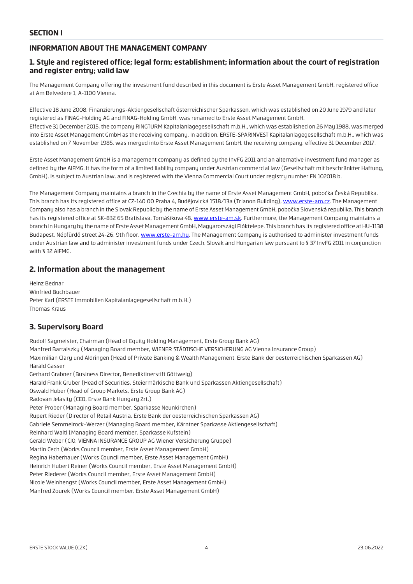## **INFORMATION ABOUT THE MANAGEMENT COMPANY**

## **1. Style and registered office; legal form; establishment; information about the court of registration and register entry; valid law**

The Management Company offering the investment fund described in this document is Erste Asset Management GmbH, registered office at Am Belvedere 1, A-1100 Vienna.

Effective 18 June 2008, Finanzierungs-Aktiengesellschaft österreichischer Sparkassen, which was established on 20 June 1979 and later registered as FINAG-Holding AG and FINAG-Holding GmbH, was renamed to Erste Asset Management GmbH. Effective 31 December 2015, the company RINGTURM Kapitalanlagegesellschaft m.b.H., which was established on 26 May 1988, was merged into Erste Asset Management GmbH as the receiving company. In addition, ERSTE-SPARINVEST Kapitalanlagegesellschaft m.b.H., which was established on 7 November 1985, was merged into Erste Asset Management GmbH, the receiving company, effective 31 December 2017.

Erste Asset Management GmbH is a management company as defined by the InvFG 2011 and an alternative investment fund manager as defined by the AIFMG. It has the form of a limited liability company under Austrian commercial law (Gesellschaft mit beschränkter Haftung, GmbH), is subject to Austrian law, and is registered with the Vienna Commercial Court under registry number FN 102018 b.

The Management Company maintains a branch in the Czechia by the name of Erste Asset Management GmbH, pobočka Česká Republika. This branch has its registered office at CZ-140 00 Praha 4, Budějovická 1518/13a (Trianon Building), [www.erste-am.cz.](https://www.erste-am.cz/) The Management Company also has a branch in the Slovak Republic by the name of Erste Asset Management GmbH, pobočka Slovenská republika. This branch has its registered office at SK-832 65 Bratislava, Tomášikova 48, [www.erste-am.sk.](https://www.erste-am.sk/) Furthermore, the Management Company maintains a branch in Hungary by the name of Erste Asset Management GmbH, Magyarországi Fióktelepe. This branch has its registered office at HU-1138 Budapest, Népfürdő street 24-26, 9th floor, [www.erste-am.hu](https://www.erste-am.hu/). The Management Company is authorised to administer investment funds under Austrian law and to administer investment funds under Czech, Slovak and Hungarian law pursuant to § 37 InvFG 2011 in conjunction with § 32 AIFMG.

## **2. Information about the management**

Heinz Bednar Winfried Buchbauer Peter Karl (ERSTE Immobilien Kapitalanlagegesellschaft m.b.H.) Thomas Kraus

## **3. Supervisory Board**

Rudolf Sagmeister, Chairman (Head of Equity Holding Management, Erste Group Bank AG) Manfred Bartalszky (Managing Board member, WIENER STÄDTISCHE VERSICHERUNG AG Vienna Insurance Group) Maximilian Clary und Aldringen (Head of Private Banking & Wealth Management, Erste Bank der oesterreichischen Sparkassen AG) Harald Gasser Gerhard Grabner (Business Director, Benediktinerstift Göttweig) Harald Frank Gruber (Head of Securities, Steiermärkische Bank und Sparkassen Aktiengesellschaft) Oswald Huber (Head of Group Markets, Erste Group Bank AG) Radovan Jelasity (CEO, Erste Bank Hungary Zrt.) Peter Prober (Managing Board member, Sparkasse Neunkirchen) Rupert Rieder (Director of Retail Austria, Erste Bank der oesterreichischen Sparkassen AG) Gabriele Semmelrock-Werzer (Managing Board member, Kärntner Sparkasse Aktiengesellschaft) Reinhard Waltl (Managing Board member, Sparkasse Kufstein) Gerald Weber (CIO, VIENNA INSURANCE GROUP AG Wiener Versicherung Gruppe) Martin Cech (Works Council member, Erste Asset Management GmbH) Regina Haberhauer (Works Council member, Erste Asset Management GmbH) Heinrich Hubert Reiner (Works Council member, Erste Asset Management GmbH) Peter Riederer (Works Council member, Erste Asset Management GmbH) Nicole Weinhengst (Works Council member, Erste Asset Management GmbH) Manfred Zourek (Works Council member, Erste Asset Management GmbH)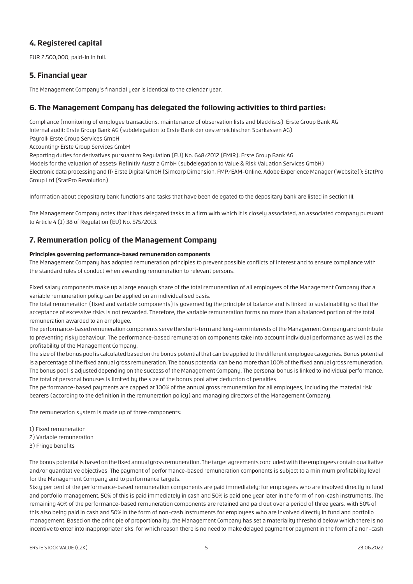## **4. Registered capital**

EUR 2,500,000, paid-in in full.

## **5. Financial year**

The Management Company's financial year is identical to the calendar year.

## **6. The Management Company has delegated the following activities to third parties:**

Compliance (monitoring of employee transactions, maintenance of observation lists and blacklists): Erste Group Bank AG Internal audit: Erste Group Bank AG (subdelegation to Erste Bank der oesterreichischen Sparkassen AG) Payroll: Erste Group Services GmbH

Accounting: Erste Group Services GmbH

Reporting duties for derivatives pursuant to Regulation (EU) No. 648/2012 (EMIR): Erste Group Bank AG

Models for the valuation of assets: Refinitiv Austria GmbH (subdelegation to Value & Risk Valuation Services GmbH)

Electronic data processing and IT: Erste Digital GmbH (Simcorp Dimension, FMP/EAM-Online, Adobe Experience Manager (Website)); StatPro Group Ltd (StatPro Revolution)

Information about depositary bank functions and tasks that have been delegated to the depositary bank are listed in section III.

The Management Company notes that it has delegated tasks to a firm with which it is closely associated, an associated company pursuant to Article 4 (1) 38 of Regulation (EU) No. 575/2013.

## **7. Remuneration policy of the Management Company**

## **Principles governing performance-based remuneration components**

The Management Company has adopted remuneration principles to prevent possible conflicts of interest and to ensure compliance with the standard rules of conduct when awarding remuneration to relevant persons.

Fixed salary components make up a large enough share of the total remuneration of all employees of the Management Company that a variable remuneration policy can be applied on an individualised basis.

The total remuneration (fixed and variable components) is governed by the principle of balance and is linked to sustainability so that the acceptance of excessive risks is not rewarded. Therefore, the variable remuneration forms no more than a balanced portion of the total remuneration awarded to an employee.

The performance-based remuneration components serve the short-term and long-term interests of the Management Company and contribute to preventing risky behaviour. The performance-based remuneration components take into account individual performance as well as the profitability of the Management Company.

The size of the bonus pool is calculated based on the bonus potential that can be applied to the different employee categories. Bonus potential is a percentage of the fixed annual gross remuneration. The bonus potential can be no more than 100% of the fixed annual gross remuneration. The bonus pool is adjusted depending on the success of the Management Company. The personal bonus is linked to individual performance. The total of personal bonuses is limited by the size of the bonus pool after deduction of penalties.

The performance-based payments are capped at 100% of the annual gross remuneration for all employees, including the material risk bearers (according to the definition in the remuneration policy) and managing directors of the Management Company.

The remuneration system is made up of three components:

- 1) Fixed remuneration
- 2) Variable remuneration
- 3) Fringe benefits

The bonus potential is based on the fixed annual gross remuneration. The target agreements concluded with the employees contain qualitative and/or quantitative objectives. The payment of performance-based remuneration components is subject to a minimum profitability level for the Management Company and to performance targets.

Sixty per cent of the performance-based remuneration components are paid immediately; for employees who are involved directly in fund and portfolio management, 50% of this is paid immediately in cash and 50% is paid one year later in the form of non-cash instruments. The remaining 40% of the performance-based remuneration components are retained and paid out over a period of three years, with 50% of this also being paid in cash and 50% in the form of non-cash instruments for employees who are involved directly in fund and portfolio management. Based on the principle of proportionality, the Management Company has set a materiality threshold below which there is no incentive to enter into inappropriate risks, for which reason there is no need to make delayed payment or payment in the form of a non-cash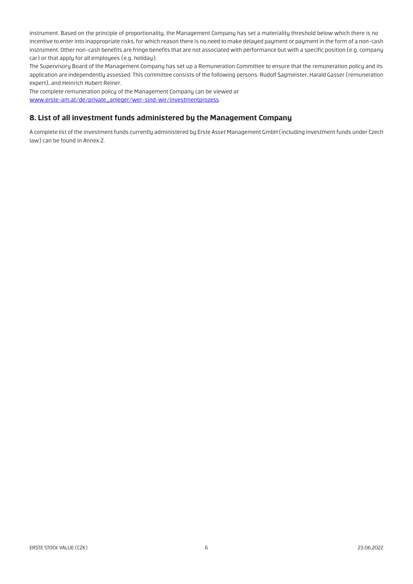instrument. Based on the principle of proportionality, the Management Company has set a materiality threshold below which there is no incentive to enter into inappropriate risks, for which reason there is no need to make delayed payment or payment in the form of a non-cash instrument. Other non-cash benefits are fringe benefits that are not associated with performance but with a specific position (e.g. company car) or that apply for all employees (e.g. holiday).

The Supervisory Board of the Management Company has set up a Remuneration Committee to ensure that the remuneration policy and its application are independently assessed. This committee consists of the following persons: Rudolf Sagmeister, Harald Gasser (remuneration expert), and Heinrich Hubert Reiner.

The complete remuneration policy of the Management Company can be viewed at [www.erste-am.at/de/private\\_anleger/wer-sind-wir/investmentprozess.](http://www.erste-am.at/de/private_anleger/wer-sind-wir/investmentprozess)

## **8. List of all investment funds administered by the Management Company**

A complete list of the investment funds currently administered by Erste Asset Management GmbH (including investment funds under Czech law) can be found in Annex 2.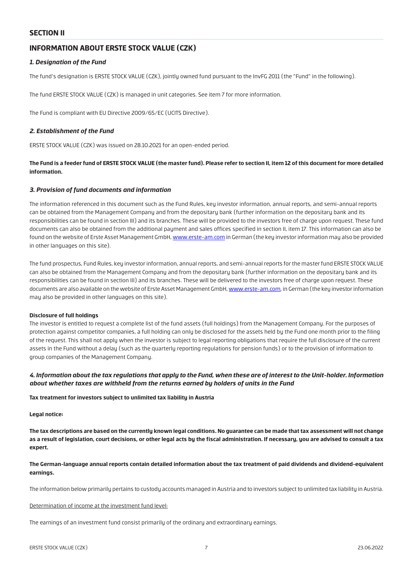## **SECTION II**

## **INFORMATION ABOUT ERSTE STOCK VALUE (CZK)**

## *1. Designation of the Fund*

The fund's designation is ERSTE STOCK VALUE (CZK), jointly owned fund pursuant to the InvFG 2011 (the "Fund" in the following).

The fund ERSTE STOCK VALUE (CZK) is managed in unit categories. See item 7 for more information.

The Fund is compliant with EU Directive 2009/65/EC (UCITS Directive).

## *2. Establishment of the Fund*

ERSTE STOCK VALUE (CZK) was issued on 28.10.2021 for an open-ended period.

**The Fund is a feeder fund of ERSTE STOCK VALUE (the master fund). Please refer to section II, item 12 of this document for more detailed information.**

#### *3. Provision of fund documents and information*

The information referenced in this document such as the Fund Rules, key investor information, annual reports, and semi-annual reports can be obtained from the Management Company and from the depositary bank (further information on the depositary bank and its responsibilities can be found in section III) and its branches. These will be provided to the investors free of charge upon request. These fund documents can also be obtained from the additional payment and sales offices specified in section II, item 17. This information can also be found on the website of Erste Asset Management GmbH, [www.erste-am.com](https://www.erste-am.com/) in German (the key investor information may also be provided in other languages on this site).

The fund prospectus, Fund Rules, key investor information, annual reports, and semi-annual reports for the master fund ERSTE STOCK VALUE can also be obtained from the Management Company and from the depositary bank (further information on the depositary bank and its responsibilities can be found in section III) and its branches. These will be delivered to the investors free of charge upon request. These documents are also available on the website of Erste Asset Management GmbH, [www.erste-am.com,](www.erste-am.com) in German (the key investor information may also be provided in other languages on this site).

#### **Disclosure of full holdings**

The investor is entitled to request a complete list of the fund assets (full holdings) from the Management Company. For the purposes of protection against competitor companies, a full holding can only be disclosed for the assets held by the Fund one month prior to the filing of the request. This shall not apply when the investor is subject to legal reporting obligations that require the full disclosure of the current assets in the Fund without a delay (such as the quarterly reporting regulations for pension funds) or to the provision of information to group companies of the Management Company.

## *4. Information about the tax regulations that apply to the Fund, when these are of interest to the Unit-holder. Information about whether taxes are withheld from the returns earned by holders of units in the Fund*

#### **Tax treatment for investors subject to unlimited tax liability in Austria**

#### **Legal notice:**

**The tax descriptions are based on the currently known legal conditions. No guarantee can be made that tax assessment will not change as a result of legislation, court decisions, or other legal acts by the fiscal administration. If necessary, you are advised to consult a tax expert.**

## **The German-language annual reports contain detailed information about the tax treatment of paid dividends and dividend-equivalent earnings.**

The information below primarily pertains to custody accounts managed in Austria and to investors subject to unlimited tax liability in Austria.

#### Determination of income at the investment fund level:

The earnings of an investment fund consist primarily of the ordinary and extraordinary earnings.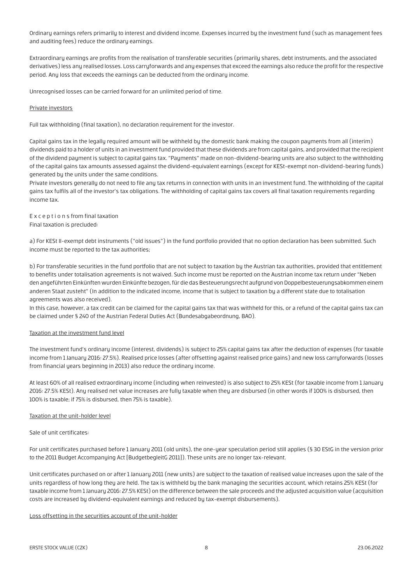Ordinary earnings refers primarily to interest and dividend income. Expenses incurred by the investment fund (such as management fees and auditing fees) reduce the ordinary earnings.

Extraordinary earnings are profits from the realisation of transferable securities (primarily shares, debt instruments, and the associated derivatives) less any realised losses. Loss carryforwards and any expenses that exceed the earnings also reduce the profit for the respective period. Any loss that exceeds the earnings can be deducted from the ordinary income.

Unrecognised losses can be carried forward for an unlimited period of time.

#### Private investors

Full tax withholding (final taxation), no declaration requirement for the investor.

Capital gains tax in the legally required amount will be withheld by the domestic bank making the coupon payments from all (interim) dividends paid to a holder of units in an investment fund provided that these dividends are from capital gains, and provided that the recipient of the dividend payment is subject to capital gains tax. "Payments" made on non-dividend-bearing units are also subject to the withholding of the capital gains tax amounts assessed against the dividend-equivalent earnings (except for KESt-exempt non-dividend-bearing funds) generated by the units under the same conditions.

Private investors generally do not need to file any tax returns in connection with units in an investment fund. The withholding of the capital gains tax fulfils all of the investor's tax obligations. The withholding of capital gains tax covers all final taxation requirements regarding income tax.

E x c e p t i o n s from final taxation Final taxation is precluded:

a) For KESt II-exempt debt instruments ("old issues") in the fund portfolio provided that no option declaration has been submitted. Such income must be reported to the tax authorities;

b) For transferable securities in the fund portfolio that are not subject to taxation by the Austrian tax authorities, provided that entitlement to benefits under totalisation agreements is not waived. Such income must be reported on the Austrian income tax return under "Neben den angeführten Einkünften wurden Einkünfte bezogen, für die das Besteuerungsrecht aufgrund von Doppelbesteuerungsabkommen einem anderen Staat zusteht" (In addition to the indicated income, income that is subject to taxation by a different state due to totalisation agreements was also received).

In this case, however, a tax credit can be claimed for the capital gains tax that was withheld for this, or a refund of the capital gains tax can be claimed under § 240 of the Austrian Federal Duties Act (Bundesabgabeordnung, BAO).

#### Taxation at the investment fund level

The investment fund's ordinary income (interest, dividends) is subject to 25% capital gains tax after the deduction of expenses (for taxable income from 1 January 2016: 27.5%). Realised price losses (after offsetting against realised price gains) and new loss carryforwards (losses from financial years beginning in 2013) also reduce the ordinary income.

At least 60% of all realised extraordinary income (including when reinvested) is also subject to 25% KESt (for taxable income from 1 January 2016: 27.5% KESt). Any realised net value increases are fully taxable when they are disbursed (in other words if 100% is disbursed, then 100% is taxable; if 75% is disbursed, then 75% is taxable).

#### Taxation at the unit-holder level

Sale of unit certificates:

For unit certificates purchased before 1 January 2011 (old units), the one-year speculation period still applies (§ 30 EStG in the version prior to the 2011 Budget Accompanying Act [BudgetbegleitG 2011]). These units are no longer tax-relevant.

Unit certificates purchased on or after 1 January 2011 (new units) are subject to the taxation of realised value increases upon the sale of the units regardless of how long they are held. The tax is withheld by the bank managing the securities account, which retains 25% KESt (for taxable income from 1 January 2016: 27.5% KESt) on the difference between the sale proceeds and the adjusted acquisition value (acquisition costs are increased by dividend-equivalent earnings and reduced by tax-exempt disbursements).

#### Loss offsetting in the securities account of the unit-holder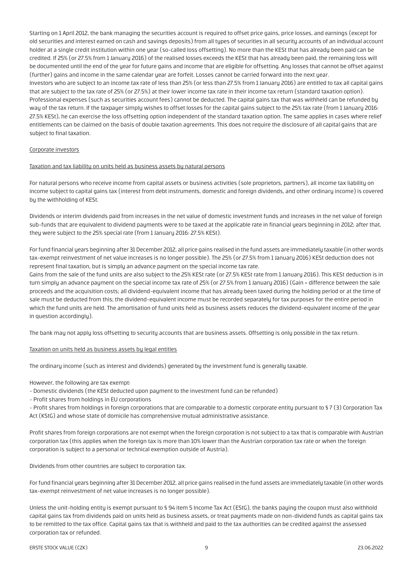Starting on 1 April 2012, the bank managing the securities account is required to offset price gains, price losses, and earnings (except for old securities and interest earned on cash and savings deposits) from all types of securities in all security accounts of an individual account holder at a single credit institution within one year (so-called loss offsetting). No more than the KESt that has already been paid can be credited. If 25% (or 27.5% from 1 January 2016) of the realised losses exceeds the KESt that has already been paid, the remaining loss will be documented until the end of the year for future gains and income that are eligible for offsetting. Any losses that cannot be offset against (further) gains and income in the same calendar year are forfeit. Losses cannot be carried forward into the next year. Investors who are subject to an income tax rate of less than 25% (or less than 27.5% from 1 January 2016) are entitled to tax all capital gains that are subject to the tax rate of 25% (or 27.5%) at their lower income tax rate in their income tax return (standard taxation option). Professional expenses (such as securities account fees) cannot be deducted. The capital gains tax that was withheld can be refunded by way of the tax return. If the taxpayer simply wishes to offset losses for the capital gains subject to the 25% tax rate (from 1 January 2016: 27.5% KESt), he can exercise the loss offsetting option independent of the standard taxation option. The same applies in cases where relief entitlements can be claimed on the basis of double taxation agreements. This does not require the disclosure of all capital gains that are subject to final taxation.

#### Corporate investors

#### Taxation and tax liability on units held as business assets by natural persons

For natural persons who receive income from capital assets or business activities (sole proprietors, partners), all income tax liability on income subject to capital gains tax (interest from debt instruments, domestic and foreign dividends, and other ordinary income) is covered by the withholding of KESt.

Dividends or interim dividends paid from increases in the net value of domestic investment funds and increases in the net value of foreign sub-funds that are equivalent to dividend payments were to be taxed at the applicable rate in financial years beginning in 2012; after that, they were subject to the 25% special rate (from 1 January 2016: 27.5% KESt).

For fund financial years beginning after 31 December 2012, all price gains realised in the fund assets are immediately taxable (in other words tax-exempt reinvestment of net value increases is no longer possible). The 25% (or 27.5% from 1 January 2016) KESt deduction does not represent final taxation, but is simply an advance payment on the special income tax rate.

Gains from the sale of the fund units are also subject to the 25% KESt rate (or 27.5% KESt rate from 1 January 2016). This KESt deduction is in turn simply an advance payment on the special income tax rate of 25% (or 27.5% from 1 January 2016) (Gain = difference between the sale proceeds and the acquisition costs; all dividend-equivalent income that has already been taxed during the holding period or at the time of sale must be deducted from this; the dividend-equivalent income must be recorded separately for tax purposes for the entire period in which the fund units are held. The amortisation of fund units held as business assets reduces the dividend-equivalent income of the year in question accordingly).

The bank may not apply loss offsetting to security accounts that are business assets. Offsetting is only possible in the tax return.

#### Taxation on units held as business assets by legal entities

The ordinary income (such as interest and dividends) generated by the investment fund is generally taxable.

However, the following are tax exempt:

- Domestic dividends (the KESt deducted upon payment to the investment fund can be refunded)

- Profit shares from holdings in EU corporations

- Profit shares from holdings in foreign corporations that are comparable to a domestic corporate entity pursuant to § 7 (3) Corporation Tax Act (KStG) and whose state of domicile has comprehensive mutual administrative assistance.

Profit shares from foreign corporations are not exempt when the foreign corporation is not subject to a tax that is comparable with Austrian corporation tax (this applies when the foreign tax is more than 10% lower than the Austrian corporation tax rate or when the foreign corporation is subject to a personal or technical exemption outside of Austria).

Dividends from other countries are subject to corporation tax.

For fund financial years beginning after 31 December 2012, all price gains realised in the fund assets are immediately taxable (in other words tax-exempt reinvestment of net value increases is no longer possible).

Unless the unit-holding entity is exempt pursuant to § 94 item 5 Income Tax Act (EStG), the banks paying the coupon must also withhold capital gains tax from dividends paid on units held as business assets, or treat payments made on non-dividend funds as capital gains tax to be remitted to the tax office. Capital gains tax that is withheld and paid to the tax authorities can be credited against the assessed corporation tax or refunded.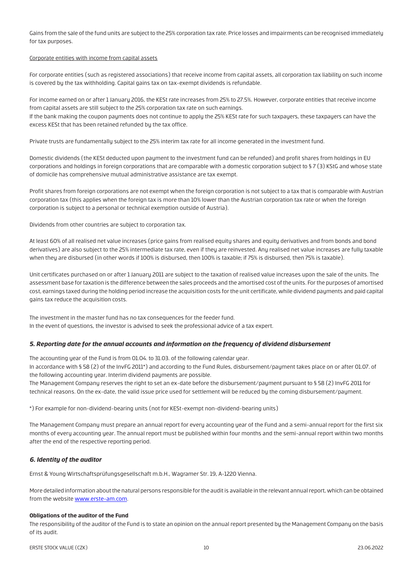Gains from the sale of the fund units are subject to the 25% corporation tax rate. Price losses and impairments can be recognised immediately for tax purposes.

#### Corporate entities with income from capital assets

For corporate entities (such as registered associations) that receive income from capital assets, all corporation tax liability on such income is covered by the tax withholding. Capital gains tax on tax-exempt dividends is refundable.

For income earned on or after 1 January 2016, the KESt rate increases from 25% to 27.5%. However, corporate entities that receive income from capital assets are still subject to the 25% corporation tax rate on such earnings.

If the bank making the coupon payments does not continue to apply the 25% KESt rate for such taxpayers, these taxpayers can have the excess KESt that has been retained refunded by the tax office.

Private trusts are fundamentally subject to the 25% interim tax rate for all income generated in the investment fund.

Domestic dividends (the KESt deducted upon payment to the investment fund can be refunded) and profit shares from holdings in EU corporations and holdings in foreign corporations that are comparable with a domestic corporation subject to § 7 (3) KStG and whose state of domicile has comprehensive mutual administrative assistance are tax exempt.

Profit shares from foreign corporations are not exempt when the foreign corporation is not subject to a tax that is comparable with Austrian corporation tax (this applies when the foreign tax is more than 10% lower than the Austrian corporation tax rate or when the foreign corporation is subject to a personal or technical exemption outside of Austria).

Dividends from other countries are subject to corporation tax.

At least 60% of all realised net value increases (price gains from realised equity shares and equity derivatives and from bonds and bond derivatives) are also subject to the 25% intermediate tax rate, even if they are reinvested. Any realised net value increases are fully taxable when they are disbursed (in other words if 100% is disbursed, then 100% is taxable; if 75% is disbursed, then 75% is taxable).

Unit certificates purchased on or after 1 January 2011 are subject to the taxation of realised value increases upon the sale of the units. The assessment base for taxation is the difference between the sales proceeds and the amortised cost of the units. For the purposes of amortised cost, earnings taxed during the holding period increase the acquisition costs for the unit certificate, while dividend payments and paid capital gains tax reduce the acquisition costs.

The investment in the master fund has no tax consequences for the feeder fund. In the event of questions, the investor is advised to seek the professional advice of a tax expert.

## *5. Reporting date for the annual accounts and information on the frequency of dividend disbursement*

The accounting year of the Fund is from 01.04. to 31.03. of the following calendar year.

In accordance with § 58 (2) of the InvFG 2011\*) and according to the Fund Rules, disbursement/payment takes place on or after 01.07. of the following accounting year. Interim dividend payments are possible.

The Management Company reserves the right to set an ex-date before the disbursement/payment pursuant to § 58 (2) InvFG 2011 for technical reasons. On the ex-date, the valid issue price used for settlement will be reduced by the coming disbursement/payment.

\*) For example for non-dividend-bearing units (not for KESt-exempt non-dividend-bearing units)

The Management Company must prepare an annual report for every accounting year of the Fund and a semi-annual report for the first six months of every accounting year. The annual report must be published within four months and the semi-annual report within two months after the end of the respective reporting period.

## *6. Identity of the auditor*

Ernst & Young Wirtschaftsprüfungsgesellschaft m.b.H., Wagramer Str. 19, A-1220 Vienna.

More detailed information about the natural persons responsible for the audit is available in the relevant annual report, which can be obtained from the website [www.erste-am.com](https://www.erste-am.com/).

#### **Obligations of the auditor of the Fund**

The responsibilitu of the auditor of the Fund is to state an opinion on the annual report presented bu the Management Company on the basis of its audit.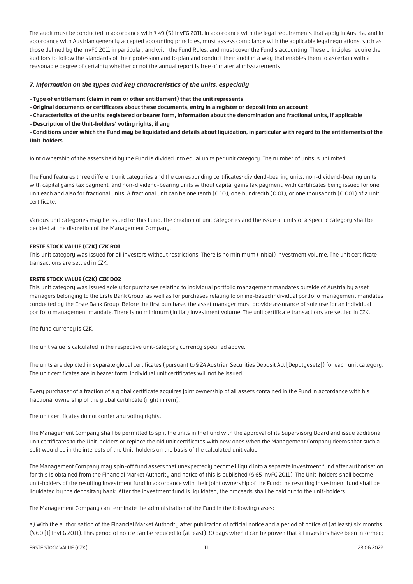The audit must be conducted in accordance with § 49 (5) InvFG 2011, in accordance with the legal requirements that apply in Austria, and in accordance with Austrian generally accepted accounting principles, must assess compliance with the applicable legal regulations, such as those defined by the InvFG 2011 in particular, and with the Fund Rules, and must cover the Fund's accounting. These principles require the auditors to follow the standards of their profession and to plan and conduct their audit in a way that enables them to ascertain with a reasonable degree of certainty whether or not the annual report is free of material misstatements.

## *7. Information on the types and key characteristics of the units, especially*

**- Type of entitlement (claim in rem or other entitlement) that the unit represents**

**- Original documents or certificates about these documents, entry in a register or deposit into an account**

**- Characteristics of the units: registered or bearer form, information about the denomination and fractional units, if applicable**

**- Description of the Unit-holders' voting rights, if any**

**- Conditions under which the Fund may be liquidated and details about liquidation, in particular with regard to the entitlements of the Unit-holders**

Joint ownership of the assets held by the Fund is divided into equal units per unit category. The number of units is unlimited.

The Fund features three different unit categories and the corresponding certificates: dividend-bearing units, non-dividend-bearing units with capital gains tax payment, and non-dividend-bearing units without capital gains tax payment, with certificates being issued for one unit each and also for fractional units. A fractional unit can be one tenth (0.10), one hundredth (0.01), or one thousandth (0.001) of a unit certificate.

Various unit categories may be issued for this Fund. The creation of unit categories and the issue of units of a specific category shall be decided at the discretion of the Management Company.

## **ERSTE STOCK VALUE (CZK) CZK R01**

This unit category was issued for all investors without restrictions. There is no minimum (initial) investment volume. The unit certificate transactions are settled in CZK.

## **ERSTE STOCK VALUE (CZK) CZK D02**

This unit category was issued solely for purchases relating to individual portfolio management mandates outside of Austria by asset managers belonging to the Erste Bank Group, as well as for purchases relating to online-based individual portfolio management mandates conducted by the Erste Bank Group. Before the first purchase, the asset manager must provide assurance of sole use for an individual portfolio management mandate. There is no minimum (initial) investment volume. The unit certificate transactions are settled in CZK.

The fund currency is CZK.

The unit value is calculated in the respective unit-category currency specified above.

The units are depicted in separate global certificates (pursuant to § 24 Austrian Securities Deposit Act [Depotgesetz]) for each unit category. The unit certificates are in bearer form. Individual unit certificates will not be issued.

Every purchaser of a fraction of a global certificate acquires joint ownership of all assets contained in the Fund in accordance with his fractional ownership of the global certificate (right in rem).

The unit certificates do not confer any voting rights.

The Management Company shall be permitted to split the units in the Fund with the approval of its Supervisory Board and issue additional unit certificates to the Unit-holders or replace the old unit certificates with new ones when the Management Company deems that such a split would be in the interests of the Unit-holders on the basis of the calculated unit value.

The Management Company may spin-off fund assets that unexpectedly become illiquid into a separate investment fund after authorisation for this is obtained from the Financial Market Authority and notice of this is published (§ 65 InvFG 2011). The Unit-holders shall become unit-holders of the resulting investment fund in accordance with their joint ownership of the Fund; the resulting investment fund shall be liquidated by the depositary bank. After the investment fund is liquidated, the proceeds shall be paid out to the unit-holders.

The Management Company can terminate the administration of the Fund in the following cases:

a) With the authorisation of the Financial Market Authority after publication of official notice and a period of notice of (at least) six months (§ 60 [1] InvFG 2011). This period of notice can be reduced to (at least) 30 days when it can be proven that all investors have been informed;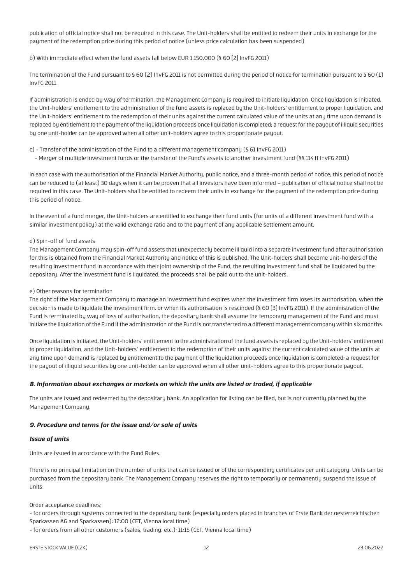publication of official notice shall not be required in this case. The Unit-holders shall be entitled to redeem their units in exchange for the payment of the redemption price during this period of notice (unless price calculation has been suspended).

#### b) With immediate effect when the fund assets fall below EUR 1,150,000 (§ 60 [2] InvFG 2011)

The termination of the Fund pursuant to § 60 (2) InvFG 2011 is not permitted during the period of notice for termination pursuant to § 60 (1) InvFG 2011.

If administration is ended by way of termination, the Management Company is required to initiate liquidation. Once liquidation is initiated, the Unit-holders' entitlement to the administration of the fund assets is replaced by the Unit-holders' entitlement to proper liquidation, and the Unit-holders' entitlement to the redemption of their units against the current calculated value of the units at any time upon demand is replaced by entitlement to the payment of the liquidation proceeds once liquidation is completed; a request for the payout of illiquid securities by one unit-holder can be approved when all other unit-holders agree to this proportionate payout.

- c) Transfer of the administration of the Fund to a different management company (§ 61 InvFG 2011)
- Merger of multiple investment funds or the transfer of the Fund's assets to another investment fund (§§ 114 ff InvFG 2011)

in each case with the authorisation of the Financial Market Authority, public notice, and a three-month period of notice; this period of notice can be reduced to (at least) 30 days when it can be proven that all investors have been informed – publication of official notice shall not be required in this case. The Unit-holders shall be entitled to redeem their units in exchange for the payment of the redemption price during this period of notice.

In the event of a fund merger, the Unit-holders are entitled to exchange their fund units (for units of a different investment fund with a similar investment policy) at the valid exchange ratio and to the payment of any applicable settlement amount.

#### d) Spin-off of fund assets

The Management Company may spin-off fund assets that unexpectedly become illiquid into a separate investment fund after authorisation for this is obtained from the Financial Market Authority and notice of this is published. The Unit-holders shall become unit-holders of the resulting investment fund in accordance with their joint ownership of the Fund; the resulting investment fund shall be liquidated by the depositary. After the investment fund is liquidated, the proceeds shall be paid out to the unit-holders.

#### e) Other reasons for termination

The right of the Management Company to manage an investment fund expires when the investment firm loses its authorisation, when the decision is made to liquidate the investment firm, or when its authorisation is rescinded (§ 60 [3] InvFG 2011). If the administration of the Fund is terminated by way of loss of authorisation, the depositary bank shall assume the temporary management of the Fund and must initiate the liquidation of the Fund if the administration of the Fund is not transferred to a different management company within six months.

Once liquidation is initiated, the Unit-holders' entitlement to the administration of the fund assets is replaced by the Unit-holders' entitlement to proper liquidation, and the Unit-holders' entitlement to the redemption of their units against the current calculated value of the units at any time upon demand is replaced by entitlement to the payment of the liquidation proceeds once liquidation is completed; a request for the payout of illiquid securities by one unit-holder can be approved when all other unit-holders agree to this proportionate payout.

#### *8. Information about exchanges or markets on which the units are listed or traded, if applicable*

The units are issued and redeemed by the depositary bank. An application for listing can be filed, but is not currently planned by the Management Company.

#### *9. Procedure and terms for the issue and/or sale of units*

#### *Issue of units*

Units are issued in accordance with the Fund Rules.

There is no principal limitation on the number of units that can be issued or of the corresponding certificates per unit category. Units can be purchased from the depositary bank. The Management Company reserves the right to temporarily or permanently suspend the issue of units.

Order acceptance deadlines:

- for orders through systems connected to the depositary bank (especially orders placed in branches of Erste Bank der oesterreichischen Sparkassen AG and Sparkassen): 12:00 (CET, Vienna local time)

- for orders from all other customers (sales, trading, etc.): 11:15 (CET, Vienna local time)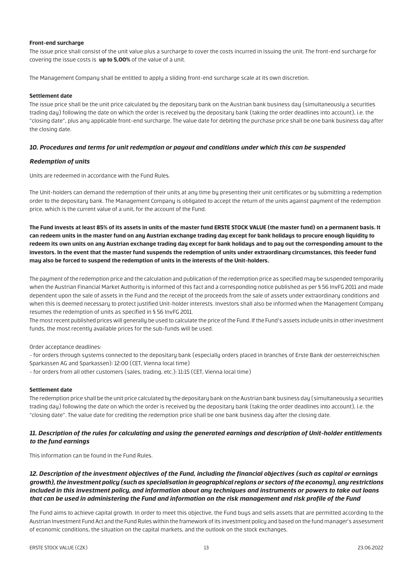#### **Front-end surcharge**

The issue price shall consist of the unit value plus a surcharge to cover the costs incurred in issuing the unit. The front-end surcharge for covering the issue costs is **up to 5,00%** of the value of a unit.

The Management Company shall be entitled to apply a sliding front-end surcharge scale at its own discretion.

#### **Settlement date**

The issue price shall be the unit price calculated by the depositary bank on the Austrian bank business day (simultaneously a securities trading day) following the date on which the order is received by the depositary bank (taking the order deadlines into account), i.e. the "closing date", plus any applicable front-end surcharge. The value date for debiting the purchase price shall be one bank business day after the closing date.

#### *10. Procedures and terms for unit redemption or payout and conditions under which this can be suspended*

#### *Redemption of units*

Units are redeemed in accordance with the Fund Rules.

The Unit-holders can demand the redemption of their units at any time by presenting their unit certificates or by submitting a redemption order to the depositary bank. The Management Company is obligated to accept the return of the units against payment of the redemption price, which is the current value of a unit, for the account of the Fund.

**The Fund invests at least 85% of its assets in units of the master fund ERSTE STOCK VALUE (the master fund) on a permanent basis. It can redeem units in the master fund on any Austrian exchange trading day except for bank holidays to procure enough liquidity to redeem its own units on any Austrian exchange trading day except for bank holidays and to pay out the corresponding amount to the investors. In the event that the master fund suspends the redemption of units under extraordinary circumstances, this feeder fund may also be forced to suspend the redemption of units in the interests of the Unit-holders.**

The payment of the redemption price and the calculation and publication of the redemption price as specified may be suspended temporarily when the Austrian Financial Market Authority is informed of this fact and a corresponding notice published as per § 56 InvFG 2011 and made dependent upon the sale of assets in the Fund and the receipt of the proceeds from the sale of assets under extraordinary conditions and when this is deemed necessary to protect justified Unit-holder interests. Investors shall also be informed when the Management Company resumes the redemption of units as specified in § 56 InvFG 2011.

The most recent published prices will generally be used to calculate the price of the Fund. If the Fund's assets include units in other investment funds, the most recently available prices for the sub-funds will be used.

## Order acceptance deadlines:

- for orders through systems connected to the depositary bank (especially orders placed in branches of Erste Bank der oesterreichischen Sparkassen AG and Sparkassen): 12:00 (CET, Vienna local time)

- for orders from all other customers (sales, trading, etc.): 11:15 (CET, Vienna local time)

#### **Settlement date**

The redemption price shall be the unit price calculated by the depositary bank on the Austrian bank business day (simultaneously a securities trading day) following the date on which the order is received by the depositary bank (taking the order deadlines into account), i.e. the "closing date". The value date for crediting the redemption price shall be one bank business day after the closing date.

## *11. Description of the rules for calculating and using the generated earnings and description of Unit-holder entitlements to the fund earnings*

This information can be found in the Fund Rules.

*12. Description of the investment objectives of the Fund, including the financial objectives (such as capital or earnings growth), the investment policy (such as specialisation in geographical regions or sectors of the economy), any restrictions included in this investment policy, and information about any techniques and instruments or powers to take out loans that can be used in administering the Fund and information on the risk management and risk profile of the Fund*

The Fund aims to achieve capital growth. In order to meet this objective, the Fund buys and sells assets that are permitted according to the Austrian Investment Fund Act and the Fund Rules within the framework of its investment policy and based on the fund manager's assessment of economic conditions, the situation on the capital markets, and the outlook on the stock exchanges.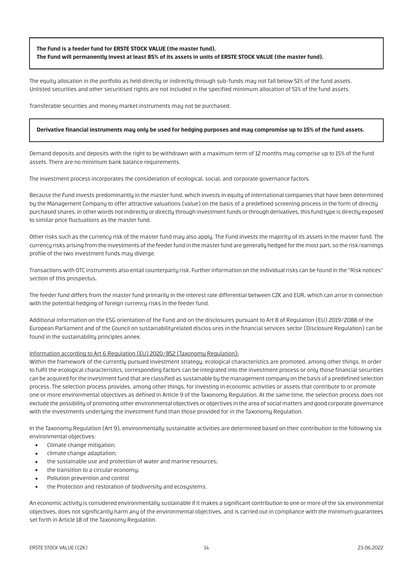## **The Fund is a feeder fund for ERSTE STOCK VALUE (the master fund). The Fund will permanently invest at least 85% of its assets in units of ERSTE STOCK VALUE (the master fund).**

The equity allocation in the portfolio as held directly or indirectly through sub-funds may not fall below 51% of the fund assets. Unlisted securities and other securitised rights are not included in the specified minimum allocation of 51% of the fund assets.

Transferable securities and money market instruments may not be purchased.

#### **Derivative financial instruments may only be used for hedging purposes and may compromise up to 15% of the fund assets.**

Demand deposits and deposits with the right to be withdrawn with a maximum term of 12 months may comprise up to 15% of the fund assets. There are no minimum bank balance requirements.

The investment process incorporates the consideration of ecological, social, and corporate governance factors.

Because the Fund invests predominantly in the master fund, which invests in equity of international companies that have been determined by the Management Company to offer attractive valuations (value) on the basis of a predefined screening process in the form of directly purchased shares, in other words not indirectly or directly through investment funds or through derivatives, this fund type is directly exposed to similar price fluctuations as the master fund.

Other risks such as the currency risk of the master fund may also apply. The Fund invests the majority of its assets in the master fund. The currency risks arising from the investments of the feeder fund in the master fund are generally hedged for the most part, so the risk/earnings profile of the two investment funds may diverge.

Transactions with OTC instruments also entail counterparty risk. Further information on the individual risks can be found in the "Risk notices" section of this prospectus.

The feeder fund differs from the master fund primarily in the interest rate differential between CZK and EUR, which can arise in connection with the potential hedging of foreign currency risks in the feeder fund.

Additional information on the ESG orientation of the Fund and on the disclosures pursuant to Art 8 of Regulation (EU) 2019/2088 of the European Parliament and of the Council on sustainabilityrelated disclos ures in the financial services sector (Disclosure Regulation) can be found in the sustainability principles annex.

#### Information according to Art 6 Regulation (EU) 2020/852 (Taxonomy Regulation):

Within the framework of the currently pursued investment strategy, ecological characteristics are promoted, among other things. In order to fulfil the ecological characteristics, corresponding factors can be integrated into the investment process or only those financial securities can be acquired for the investment fund that are classified as sustainable by the management company on the basis of a predefined selection process. The selection process provides, among other things, for investing in economic activities or assets that contribute to or promote one or more environmental objectives as defined in Article 9 of the Taxonomy Regulation. At the same time, the selection process does not exclude the possibility of promoting other environmental objectives or objectives in the area of social matters and good corporate governance with the investments underlying the investment fund than those provided for in the Taxonomy Regulation.

In the Taxonomy Regulation (Art 9), environmentally sustainable activities are determined based on their contribution to the following six environmental objectives:

- Climate change mitigation;
- climate change adaptation;
- the sustainable use and protection of water and marine resources;
- the transition to a circular economy;
- Pollution prevention and control
- the Protection and restoration of biodiversity and ecosystems.

An economic activity is considered environmentally sustainable if it makes a significant contribution to one or more of the six environmental objectives, does not significantly harm any of the environmental objectives, and is carried out in compliance with the minimum guarantees set forth in Article 18 of the Taxonomy Regulation.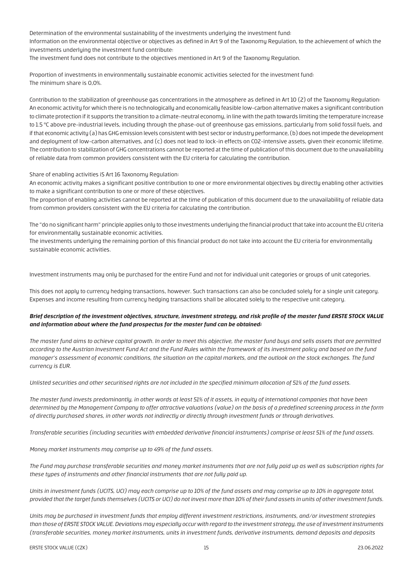Determination of the environmental sustainability of the investments underlying the investment fund:

Information on the environmental objective or objectives as defined in Art 9 of the Taxonomy Regulation, to the achievement of which the investments underlying the investment fund contribute:

The investment fund does not contribute to the objectives mentioned in Art 9 of the Taxonomy Regulation.

Proportion of investments in environmentally sustainable economic activities selected for the investment fund: The minimum share is 0,0%.

Contribution to the stabilization of greenhouse gas concentrations in the atmosphere as defined in Art 10 (2) of the Taxonomy Regulation: An economic activity for which there is no technologically and economically feasible low-carbon alternative makes a significant contribution to climate protection if it supports the transition to a climate-neutral economy, in line with the path towards limiting the temperature increase to 1.5 °C above pre-industrial levels, including through the phase-out of greenhouse gas emissions, particularly from solid fossil fuels, and if that economic activity (a) has GHG emission levels consistent with best sector or industry performance, (b) does not impede the development and deployment of low-carbon alternatives, and (c) does not lead to lock-in effects on CO2-intensive assets, given their economic lifetime. The contribution to stabilization of GHG concentrations cannot be reported at the time of publication of this document due to the unavailability of reliable data from common providers consistent with the EU criteria for calculating the contribution.

Share of enabling activities iS Art 16 Taxonomy Regulation:

An economic activity makes a significant positive contribution to one or more environmental objectives by directly enabling other activities to make a significant contribution to one or more of these objectives.

The proportion of enabling activities cannot be reported at the time of publication of this document due to the unavailability of reliable data from common providers consistent with the EU criteria for calculating the contribution.

The "do no significant harm" principle applies only to those investments underlying the financial product that take into account the EU criteria for environmentally sustainable economic activities.

The investments underlying the remaining portion of this financial product do not take into account the EU criteria for environmentally sustainable economic activities.

Investment instruments may only be purchased for the entire Fund and not for individual unit categories or groups of unit categories.

This does not apply to currency hedging transactions, however. Such transactions can also be concluded solely for a single unit category. Expenses and income resulting from currency hedging transactions shall be allocated solely to the respective unit category.

## *Brief description of the investment objectives, structure, investment strategy, and risk profile of the master fund ERSTE STOCK VALUE and information about where the fund prospectus for the master fund can be obtained:*

*The master fund aims to achieve capital growth. In order to meet this objective, the master fund buys and sells assets that are permitted according to the Austrian Investment Fund Act and the Fund Rules within the framework of its investment policy and based on the fund manager's assessment of economic conditions, the situation on the capital markets, and the outlook on the stock exchanges. The fund currency is EUR.*

*Unlisted securities and other securitised rights are not included in the specified minimum allocation of 51% of the fund assets.*

*The master fund invests predominantly, in other words at least 51% of it assets, in equity of international companies that have been determined by the Management Company to offer attractive valuations (value) on the basis of a predefined screening process in the form of directly purchased shares, in other words not indirectly or directly through investment funds or through derivatives.*

*Transferable securities (including securities with embedded derivative financial instruments) comprise at least 51% of the fund assets.*

*Money market instruments may comprise up to 49% of the fund assets.*

*The Fund may purchase transferable securities and money market instruments that are not fully paid up as well as subscription rights for these types of instruments and other financial instruments that are not fully paid up.*

*Units in investment funds (UCITS, UCI) may each comprise up to 10% of the fund assets and may comprise up to 10% in aggregate total, provided that the target funds themselves (UCITS or UCI) do not invest more than 10% of their fund assets in units of other investment funds.*

*Units may be purchased in investment funds that employ different investment restrictions, instruments, and/or investment strategies than those of ERSTE STOCK VALUE. Deviations may especially occur with regard to the investment strategy, the use of investment instruments (transferable securities, money market instruments, units in investment funds, derivative instruments, demand deposits and deposits*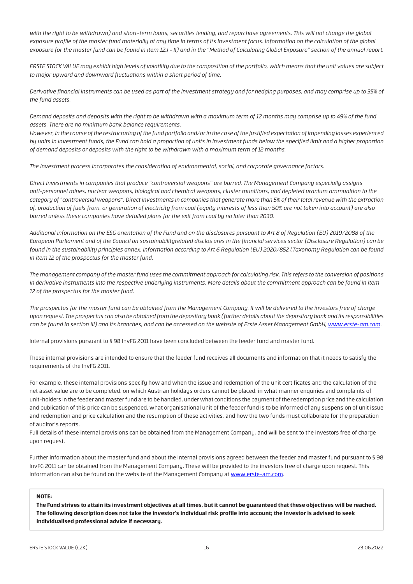*with the right to be withdrawn) and short-term loans, securities lending, and repurchase agreements. This will not change the global exposure profile of the master fund materially at any time in terms of its investment focus. Information on the calculation of the global exposure for the master fund can be found in item 12.J - II) and in the "Method of Calculating Global Exposure" section of the annual report.*

*ERSTE STOCK VALUE may exhibit high levels of volatility due to the composition of the portfolio, which means that the unit values are subject to major upward and downward fluctuations within a short period of time.*

*Derivative financial instruments can be used as part of the investment strategy and for hedging purposes, and may comprise up to 35% of the fund assets.*

*Demand deposits and deposits with the right to be withdrawn with a maximum term of 12 months may comprise up to 49% of the fund assets. There are no minimum bank balance requirements.*

*However, in the course of the restructuring of the fund portfolio and/or in the case of the justified expectation of impending losses experienced by units in investment funds, the Fund can hold a proportion of units in investment funds below the specified limit and a higher proportion of demand deposits or deposits with the right to be withdrawn with a maximum term of 12 months.*

*The investment process incorporates the consideration of environmental, social, and corporate governance factors.*

*Direct investments in companies that produce "controversial weapons" are barred. The Management Company especially assigns anti-personnel mines, nuclear weapons, biological and chemical weapons, cluster munitions, and depleted uranium ammunition to the category of "controversial weapons". Direct investments in companies that generate more than 5% of their total revenue with the extraction of, production of fuels from, or generation of electricity from coal (equity interests of less than 50% are not taken into account) are also barred unless these companies have detailed plans for the exit from coal by no later than 2030.*

*Additional information on the ESG orientation of the Fund and on the disclosures pursuant to Art 8 of Regulation (EU) 2019/2088 of the European Parliament and of the Council on sustainabilityrelated disclos ures in the financial services sector (Disclosure Regulation) can be found in the sustainability principles annex. Information according to Art 6 Regulation (EU) 2020/852 (Taxonomy Regulation can be found in item 12 of the prospectus for the master fund.*

*The management company of the master fund uses the commitment approach for calculating risk. This refers to the conversion of positions in derivative instruments into the respective underlying instruments. More details about the commitment approach can be found in item 12 of the prospectus for the master fund.*

*The prospectus for the master fund can be obtained from the Management Company. It will be delivered to the investors free of charge upon request. The prospectus can also be obtained from the depositary bank (further details about the depositary bank and its responsibilities can be found in section III) and its branches, and can be accessed on the website of Erste Asset Management GmbH, [www.erste-am.com](http://www.erste-am.com).*

Internal provisions pursuant to § 98 InvFG 2011 have been concluded between the feeder fund and master fund.

These internal provisions are intended to ensure that the feeder fund receives all documents and information that it needs to satisfy the requirements of the InvFG 2011.

For example, these internal provisions specify how and when the issue and redemption of the unit certificates and the calculation of the net asset value are to be completed, on which Austrian holidays orders cannot be placed, in what manner enquiries and complaints of unit-holders in the feeder and master fund are to be handled, under what conditions the payment of the redemption price and the calculation and publication of this price can be suspended, what organisational unit of the feeder fund is to be informed of any suspension of unit issue and redemption and price calculation and the resumption of these activities, and how the two funds must collaborate for the preparation of auditor's reports.

Full details of these internal provisions can be obtained from the Management Company, and will be sent to the investors free of charge upon request.

Further information about the master fund and about the internal provisions agreed between the feeder and master fund pursuant to § 98 InvFG 2011 can be obtained from the Management Company. These will be provided to the investors free of charge upon request. This information can also be found on the website of the Management Company at [www.erste-am.com](http://www.erste-am.com).

#### **NOTE:**

**The Fund strives to attain its investment objectives at all times, but it cannot be guaranteed that these objectives will be reached. The following description does not take the investor's individual risk profile into account; the investor is advised to seek individualised professional advice if necessary.**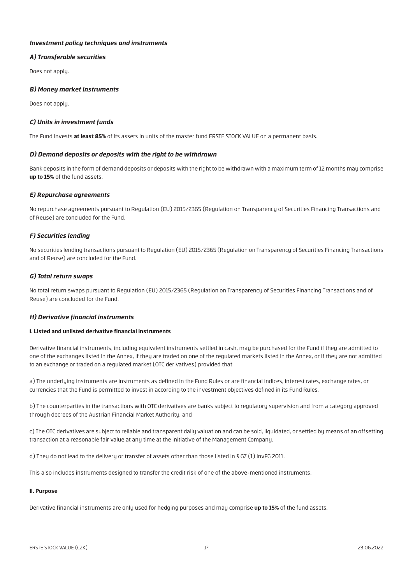## *Investment policy techniques and instruments*

## *A) Transferable securities*

Does not apply.

## *B) Money market instruments*

Does not apply.

## *C) Units in investment funds*

The Fund invests **at least 85%** of its assets in units of the master fund ERSTE STOCK VALUE on a permanent basis.

#### *D) Demand deposits or deposits with the right to be withdrawn*

Bank deposits in the form of demand deposits or deposits with the right to be withdrawn with a maximum term of 12 months may comprise **up to 15%** of the fund assets.

## *E) Repurchase agreements*

No repurchase agreements pursuant to Regulation (EU) 2015/2365 (Regulation on Transparency of Securities Financing Transactions and of Reuse) are concluded for the Fund.

## *F) Securities lending*

No securities lending transactions pursuant to Regulation (EU) 2015/2365 (Regulation on Transparency of Securities Financing Transactions and of Reuse) are concluded for the Fund.

## *G) Total return swaps*

No total return swaps pursuant to Regulation (EU) 2015/2365 (Regulation on Transparency of Securities Financing Transactions and of Reuse) are concluded for the Fund.

#### *H) Derivative financial instruments*

#### **I. Listed and unlisted derivative financial instruments**

Derivative financial instruments, including equivalent instruments settled in cash, may be purchased for the Fund if they are admitted to one of the exchanges listed in the Annex, if they are traded on one of the regulated markets listed in the Annex, or if they are not admitted to an exchange or traded on a regulated market (OTC derivatives) provided that

a) The underlying instruments are instruments as defined in the Fund Rules or are financial indices, interest rates, exchange rates, or currencies that the Fund is permitted to invest in according to the investment objectives defined in its Fund Rules,

b) The counterparties in the transactions with OTC derivatives are banks subject to regulatory supervision and from a category approved through decrees of the Austrian Financial Market Authority, and

c) The OTC derivatives are subject to reliable and transparent daily valuation and can be sold, liquidated, or settled by means of an offsetting transaction at a reasonable fair value at any time at the initiative of the Management Company.

d) They do not lead to the delivery or transfer of assets other than those listed in § 67 (1) InvFG 2011.

This also includes instruments designed to transfer the credit risk of one of the above-mentioned instruments.

#### **II. Purpose**

Derivative financial instruments are only used for hedging purposes and may comprise **up to 15%** of the fund assets.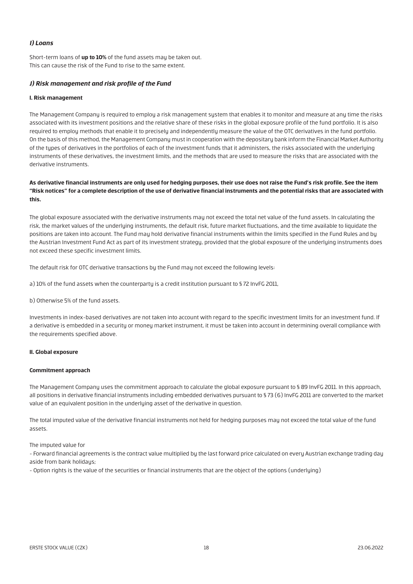## *I) Loans*

Short-term loans of **up to 10%** of the fund assets may be taken out. This can cause the risk of the Fund to rise to the same extent.

## *J) Risk management and risk profile of the Fund*

#### **I. Risk management**

The Management Company is required to employ a risk management system that enables it to monitor and measure at any time the risks associated with its investment positions and the relative share of these risks in the global exposure profile of the fund portfolio. It is also required to employ methods that enable it to precisely and independently measure the value of the OTC derivatives in the fund portfolio. On the basis of this method, the Management Company must in cooperation with the depositary bank inform the Financial Market Authority of the types of derivatives in the portfolios of each of the investment funds that it administers, the risks associated with the underlying instruments of these derivatives, the investment limits, and the methods that are used to measure the risks that are associated with the derivative instruments.

## **As derivative financial instruments are only used for hedging purposes, their use does not raise the Fund's risk profile. See the item "Risk notices" for a complete description of the use of derivative financial instruments and the potential risks that are associated with this.**

The global exposure associated with the derivative instruments may not exceed the total net value of the fund assets. In calculating the risk, the market values of the underlying instruments, the default risk, future market fluctuations, and the time available to liquidate the positions are taken into account. The Fund may hold derivative financial instruments within the limits specified in the Fund Rules and by the Austrian Investment Fund Act as part of its investment strategy, provided that the global exposure of the underlying instruments does not exceed these specific investment limits.

The default risk for OTC derivative transactions by the Fund may not exceed the following levels:

a) 10% of the fund assets when the counterparty is a credit institution pursuant to § 72 InvFG 2011,

b) Otherwise 5% of the fund assets.

Investments in index-based derivatives are not taken into account with regard to the specific investment limits for an investment fund. If a derivative is embedded in a security or money market instrument, it must be taken into account in determining overall compliance with the requirements specified above.

#### **II. Global exposure**

#### **Commitment approach**

The Management Company uses the commitment approach to calculate the global exposure pursuant to § 89 InvFG 2011. In this approach, all positions in derivative financial instruments including embedded derivatives pursuant to § 73 (6) InvFG 2011 are converted to the market value of an equivalent position in the underlying asset of the derivative in question.

The total imputed value of the derivative financial instruments not held for hedging purposes may not exceed the total value of the fund assets.

The imputed value for

- Forward financial agreements is the contract value multiplied by the last forward price calculated on every Austrian exchange trading day aside from bank holidaus;

- Option rights is the value of the securities or financial instruments that are the object of the options (underlying)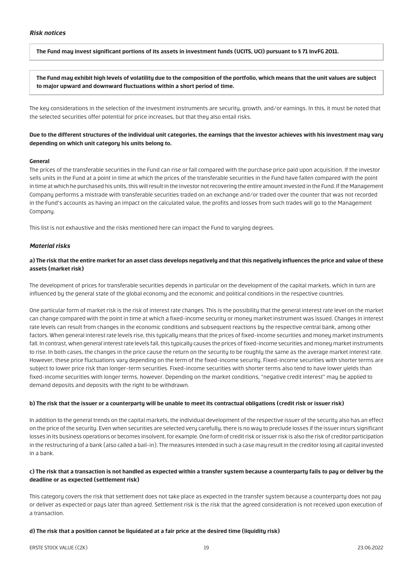**The Fund may invest significant portions of its assets in investment funds (UCITS, UCI) pursuant to § 71 InvFG 2011.**

**The Fund may exhibit high levels of volatility due to the composition of the portfolio, which means that the unit values are subject to major upward and downward fluctuations within a short period of time.**

The key considerations in the selection of the investment instruments are security, growth, and/or earnings. In this, it must be noted that the selected securities offer potential for price increases, but that they also entail risks.

### **Due to the different structures of the individual unit categories, the earnings that the investor achieves with his investment may vary depending on which unit category his units belong to.**

#### **General**

The prices of the transferable securities in the Fund can rise or fall compared with the purchase price paid upon acquisition. If the investor sells units in the Fund at a point in time at which the prices of the transferable securities in the Fund have fallen compared with the point in time at which he purchased his units, this will result in the investor not recovering the entire amount invested in the Fund. If the Management Company performs a mistrade with transferable securities traded on an exchange and/or traded over the counter that was not recorded in the Fund's accounts as having an impact on the calculated value, the profits and losses from such trades will go to the Management Company.

This list is not exhaustive and the risks mentioned here can impact the Fund to varuing degrees.

#### *Material risks*

#### **a) The risk that the entire market for an asset class develops negatively and that this negatively influences the price and value of these assets (market risk)**

The development of prices for transferable securities depends in particular on the development of the capital markets, which in turn are influenced by the general state of the global economy and the economic and political conditions in the respective countries.

One particular form of market risk is the risk of interest rate changes. This is the possibility that the general interest rate level on the market can change compared with the point in time at which a fixed-income security or money market instrument was issued. Changes in interest rate levels can result from changes in the economic conditions and subsequent reactions by the respective central bank, among other factors. When general interest rate levels rise, this typically means that the prices of fixed-income securities and money market instruments fall. In contrast, when general interest rate levels fall, this typically causes the prices of fixed-income securities and money market instruments to rise. In both cases, the changes in the price cause the return on the security to be roughly the same as the average market interest rate. However, these price fluctuations vary depending on the term of the fixed-income security. Fixed-income securities with shorter terms are subject to lower price risk than longer-term securities. Fixed-income securities with shorter terms also tend to have lower yields than fixed-income securities with longer terms, however. Depending on the market conditions, "negative credit interest" may be applied to demand deposits and deposits with the right to be withdrawn.

#### **b) The risk that the issuer or a counterparty will be unable to meet its contractual obligations (credit risk or issuer risk)**

In addition to the general trends on the capital markets, the individual development of the respective issuer of the security also has an effect on the price of the security. Even when securities are selected very carefully, there is no way to preclude losses if the issuer incurs significant losses in its business operations or becomes insolvent, for example. One form of credit risk or issuer risk is also the risk of creditor participation in the restructuring of a bank (also called a bail-in). The measures intended in such a case may result in the creditor losing all capital invested in a bank.

#### **c) The risk that a transaction is not handled as expected within a transfer system because a counterparty fails to pay or deliver by the deadline or as expected (settlement risk)**

This category covers the risk that settlement does not take place as expected in the transfer system because a counterparty does not pay or deliver as expected or pays later than agreed. Settlement risk is the risk that the agreed consideration is not received upon execution of a transaction.

#### **d) The risk that a position cannot be liquidated at a fair price at the desired time (liquidity risk)**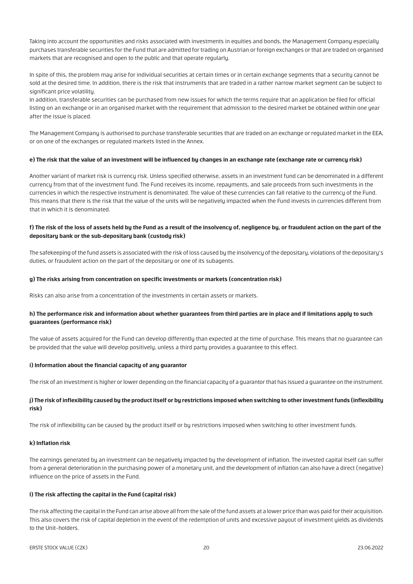Taking into account the opportunities and risks associated with investments in equities and bonds, the Management Company especially purchases transferable securities for the Fund that are admitted for trading on Austrian or foreign exchanges or that are traded on organised markets that are recognised and open to the public and that operate regularly.

In spite of this, the problem may arise for individual securities at certain times or in certain exchange segments that a security cannot be sold at the desired time. In addition, there is the risk that instruments that are traded in a rather narrow market segment can be subject to significant price volatility.

In addition, transferable securities can be purchased from new issues for which the terms require that an application be filed for official listing on an exchange or in an organised market with the requirement that admission to the desired market be obtained within one year after the issue is placed.

The Management Company is authorised to purchase transferable securities that are traded on an exchange or regulated market in the EEA, or on one of the exchanges or regulated markets listed in the Annex.

#### **e) The risk that the value of an investment will be influenced by changes in an exchange rate (exchange rate or currency risk)**

Another variant of market risk is currency risk. Unless specified otherwise, assets in an investment fund can be denominated in a different currency from that of the investment fund. The Fund receives its income, repayments, and sale proceeds from such investments in the currencies in which the respective instrument is denominated. The value of these currencies can fall relative to the currency of the Fund. This means that there is the risk that the value of the units will be negatively impacted when the Fund invests in currencies different from that in which it is denominated.

## **f) The risk of the loss of assets held by the Fund as a result of the insolvency of, negligence by, or fraudulent action on the part of the depositary bank or the sub-depositary bank (custody risk)**

The safekeeping of the fund assets is associated with the risk of loss caused by the insolvency of the depositary, violations of the depositary's duties, or fraudulent action on the part of the depositary or one of its subagents.

#### **g) The risks arising from concentration on specific investments or markets (concentration risk)**

Risks can also arise from a concentration of the investments in certain assets or markets.

## **h) The performance risk and information about whether guarantees from third parties are in place and if limitations apply to such guarantees (performance risk)**

The value of assets acquired for the Fund can develop differently than expected at the time of purchase. This means that no guarantee can be provided that the value will develop positively, unless a third party provides a guarantee to this effect.

#### **i) Information about the financial capacity of any guarantor**

The risk of an investment is higher or lower depending on the financial capacity of a guarantor that has issued a guarantee on the instrument.

## **j) The risk of inflexibility caused by the product itself or by restrictions imposed when switching to other investment funds (inflexibility risk)**

The risk of inflexibility can be caused by the product itself or by restrictions imposed when switching to other investment funds.

#### **k) Inflation risk**

The earnings generated by an investment can be negatively impacted by the development of inflation. The invested capital itself can suffer from a general deterioration in the purchasing power of a monetary unit, and the development of inflation can also have a direct (negative) influence on the price of assets in the Fund.

#### **l) The risk affecting the capital in the Fund (capital risk)**

The risk affecting the capital in the Fund can arise above all from the sale of the fund assets at a lower price than was paid for their acquisition. This also covers the risk of capital depletion in the event of the redemption of units and excessive payout of investment yields as dividends to the Unit-holders.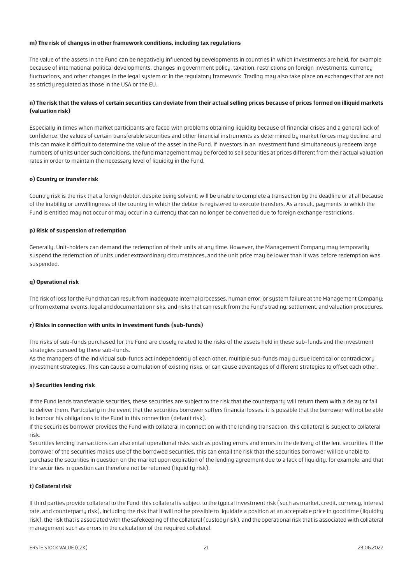#### **m) The risk of changes in other framework conditions, including tax regulations**

The value of the assets in the Fund can be negatively influenced by developments in countries in which investments are held, for example because of international political developments, changes in government policy, taxation, restrictions on foreign investments, currency fluctuations, and other changes in the legal system or in the regulatory framework. Trading may also take place on exchanges that are not as strictly regulated as those in the USA or the EU.

#### **n) The risk that the values of certain securities can deviate from their actual selling prices because of prices formed on illiquid markets (valuation risk)**

Especially in times when market participants are faced with problems obtaining liquidity because of financial crises and a general lack of confidence, the values of certain transferable securities and other financial instruments as determined by market forces may decline, and this can make it difficult to determine the value of the asset in the Fund. If investors in an investment fund simultaneously redeem large numbers of units under such conditions, the fund management may be forced to sell securities at prices different from their actual valuation rates in order to maintain the necessary level of liquidity in the Fund.

#### **o) Country or transfer risk**

Country risk is the risk that a foreign debtor, despite being solvent, will be unable to complete a transaction by the deadline or at all because of the inability or unwillingness of the country in which the debtor is registered to execute transfers. As a result, payments to which the Fund is entitled may not occur or may occur in a currency that can no longer be converted due to foreign exchange restrictions.

#### **p) Risk of suspension of redemption**

Generally, Unit-holders can demand the redemption of their units at any time. However, the Management Company may temporarily suspend the redemption of units under extraordinary circumstances, and the unit price may be lower than it was before redemption was suspended.

#### **q) Operational risk**

The risk of loss for the Fund that can result from inadequate internal processes, human error, or system failure at the Management Company; or from external events, legal and documentation risks, and risks that can result from the Fund's trading, settlement, and valuation procedures.

#### **r) Risks in connection with units in investment funds (sub-funds)**

The risks of sub-funds purchased for the Fund are closely related to the risks of the assets held in these sub-funds and the investment strategies pursued by these sub-funds.

As the managers of the individual sub-funds act independently of each other, multiple sub-funds may pursue identical or contradictory investment strategies. This can cause a cumulation of existing risks, or can cause advantages of different strategies to offset each other.

#### **s) Securities lending risk**

If the Fund lends transferable securities, these securities are subject to the risk that the counterparty will return them with a delay or fail to deliver them. Particularly in the event that the securities borrower suffers financial losses, it is possible that the borrower will not be able to honour his obligations to the Fund in this connection (default risk).

If the securities borrower provides the Fund with collateral in connection with the lending transaction, this collateral is subject to collateral risk.

Securities lending transactions can also entail operational risks such as posting errors and errors in the delivery of the lent securities. If the borrower of the securities makes use of the borrowed securities, this can entail the risk that the securities borrower will be unable to purchase the securities in question on the market upon expiration of the lending agreement due to a lack of liquidity, for example, and that the securities in question can therefore not be returned (liquidity risk).

#### **t) Collateral risk**

If third parties provide collateral to the Fund, this collateral is subject to the typical investment risk (such as market, credit, currency, interest rate, and counterparty risk), including the risk that it will not be possible to liquidate a position at an acceptable price in good time (liquidity risk), the risk that is associated with the safekeeping of the collateral (custody risk), and the operational risk that is associated with collateral management such as errors in the calculation of the required collateral.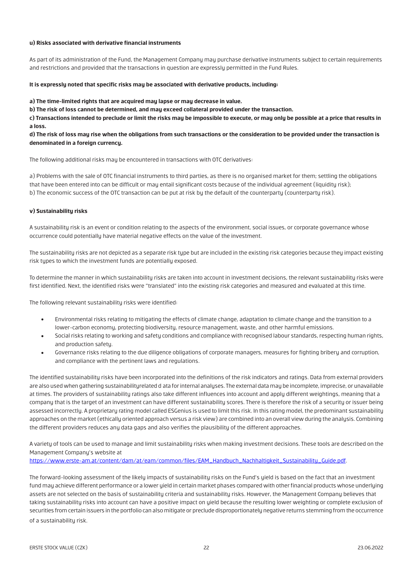#### **u) Risks associated with derivative financial instruments**

As part of its administration of the Fund, the Management Company may purchase derivative instruments subject to certain requirements and restrictions and provided that the transactions in question are expressly permitted in the Fund Rules.

#### **It is expressly noted that specific risks may be associated with derivative products, including:**

**a) The time-limited rights that are acquired may lapse or may decrease in value.**

**b) The risk of loss cannot be determined, and may exceed collateral provided under the transaction.**

**c) Transactions intended to preclude or limit the risks may be impossible to execute, or may only be possible at a price that results in a loss.**

## **d) The risk of loss may rise when the obligations from such transactions or the consideration to be provided under the transaction is denominated in a foreign currency.**

The following additional risks may be encountered in transactions with OTC derivatives:

a) Problems with the sale of OTC financial instruments to third parties, as there is no organised market for them; settling the obligations that have been entered into can be difficult or may entail significant costs because of the individual agreement (liquidity risk); b) The economic success of the OTC transaction can be put at risk by the default of the counterparty (counterparty risk).

#### **v) Sustainability risks**

A sustainability risk is an event or condition relating to the aspects of the environment, social issues, or corporate governance whose occurrence could potentially have material negative effects on the value of the investment.

The sustainability risks are not depicted as a separate risk type but are included in the existing risk categories because they impact existing risk types to which the investment funds are potentially exposed.

To determine the manner in which sustainability risks are taken into account in investment decisions, the relevant sustainability risks were first identified. Next, the identified risks were "translated" into the existing risk categories and measured and evaluated at this time.

The following relevant sustainability risks were identified:

- Environmental risks relating to mitigating the effects of climate change, adaptation to climate change and the transition to a lower-carbon economy, protecting biodiversity, resource management, waste, and other harmful emissions.
- Social risks relating to working and safety conditions and compliance with recognised labour standards, respecting human rights, and production safety.
- Governance risks relating to the due diligence obligations of corporate managers, measures for fighting bribery and corruption, and compliance with the pertinent laws and regulations.

The identified sustainability risks have been incorporated into the definitions of the risk indicators and ratings. Data from external providers are also used when gathering sustainabilityrelated d ata for internal analyses. The external data may be incomplete, imprecise, or unavailable at times. The providers of sustainability ratings also take different influences into account and apply different weightings, meaning that a company that is the target of an investment can have different sustainability scores. There is therefore the risk of a security or issuer being assessed incorrectly. A proprietary rating model called ESGenius is used to limit this risk. In this rating model, the predominant sustainability approaches on the market (ethically oriented approach versus a risk view) are combined into an overall view during the analysis. Combining the different providers reduces any data gaps and also verifies the plausibility of the different approaches.

A variety of tools can be used to manage and limit sustainability risks when making investment decisions. These tools are described on the Management Company's website at

[https://www.erste-am.at/content/dam/at/eam/common/files/EAM\\_Handbuch\\_Nachhaltigkeit\\_Sustainability\\_Guide.pdf.](https://www.erste-am.at/content/dam/at/eam/common/files/EAM_Handbuch_Nachhaltigkeit_Sustainability_Guide.pdf)

The forward-looking assessment of the likely impacts of sustainability risks on the Fund's yield is based on the fact that an investment fund may achieve different performance or a lower yield in certain market phases compared with other financial products whose underlying assets are not selected on the basis of sustainability criteria and sustainability risks. However, the Management Company believes that taking sustainability risks into account can have a positive impact on yield because the resulting lower weighting or complete exclusion of securities from certain issuers in the portfolio can also mitigate or preclude disproportionately negative returns stemming from the occurrence of a sustainability risk.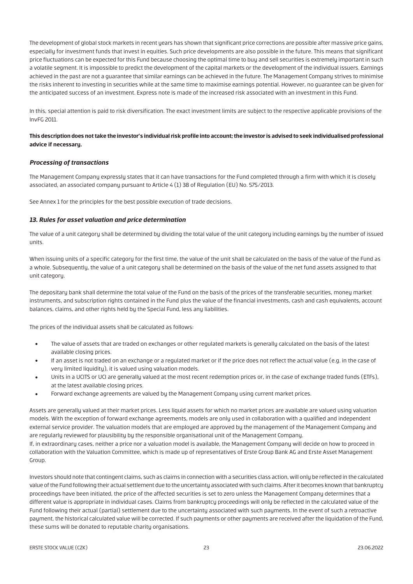The development of global stock markets in recent years has shown that significant price corrections are possible after massive price gains, especially for investment funds that invest in equities. Such price developments are also possible in the future. This means that significant price fluctuations can be expected for this Fund because choosing the optimal time to buy and sell securities is extremely important in such a volatile segment. It is impossible to predict the development of the capital markets or the development of the individual issuers. Earnings achieved in the past are not a guarantee that similar earnings can be achieved in the future. The Management Company strives to minimise the risks inherent to investing in securities while at the same time to maximise earnings potential. However, no guarantee can be given for the anticipated success of an investment. Express note is made of the increased risk associated with an investment in this Fund.

In this, special attention is paid to risk diversification. The exact investment limits are subject to the respective applicable provisions of the InvFG 2011.

## **This description does not take the investor's individual risk profile into account; the investor is advised to seek individualised professional advice if necessary.**

## *Processing of transactions*

The Management Company expressly states that it can have transactions for the Fund completed through a firm with which it is closely associated, an associated company pursuant to Article 4 (1) 38 of Regulation (EU) No. 575/2013.

See Annex 1 for the principles for the best possible execution of trade decisions.

#### *13. Rules for asset valuation and price determination*

The value of a unit category shall be determined by dividing the total value of the unit category including earnings by the number of issued units.

When issuing units of a specific category for the first time, the value of the unit shall be calculated on the basis of the value of the Fund as a whole. Subsequently, the value of a unit category shall be determined on the basis of the value of the net fund assets assigned to that unit category.

The depositary bank shall determine the total value of the Fund on the basis of the prices of the transferable securities, money market instruments, and subscription rights contained in the Fund plus the value of the financial investments, cash and cash equivalents, account balances, claims, and other rights held by the Special Fund, less any liabilities.

The prices of the individual assets shall be calculated as follows:

- The value of assets that are traded on exchanges or other regulated markets is generally calculated on the basis of the latest available closing prices.
- If an asset is not traded on an exchange or a regulated market or if the price does not reflect the actual value (e.g. in the case of very limited liquidity), it is valued using valuation models.
- Units in a UCITS or UCI are generally valued at the most recent redemption prices or, in the case of exchange traded funds (ETFs), at the latest available closing prices.
- Forward exchange agreements are valued by the Management Company using current market prices.

Assets are generally valued at their market prices. Less liquid assets for which no market prices are available are valued using valuation models. With the exception of forward exchange agreements, models are only used in collaboration with a qualified and independent external service provider. The valuation models that are employed are approved by the management of the Management Company and are regularly reviewed for plausibility by the responsible organisational unit of the Management Company. If, in extraordinary cases, neither a price nor a valuation model is available, the Management Company will decide on how to proceed in collaboration with the Valuation Committee, which is made up of representatives of Erste Group Bank AG and Erste Asset Management Group.

Investors should note that contingent claims, such as claims in connection with a securities class action, will only be reflected in the calculated value of the Fund following their actual settlement due to the uncertainty associated with such claims. After it becomes known that bankruptcy proceedings have been initiated, the price of the affected securities is set to zero unless the Management Company determines that a different value is appropriate in individual cases. Claims from bankruptcy proceedings will only be reflected in the calculated value of the Fund following their actual (partial) settlement due to the uncertainty associated with such payments. In the event of such a retroactive payment, the historical calculated value will be corrected. If such payments or other payments are received after the liquidation of the Fund, these sums will be donated to reputable charity organisations.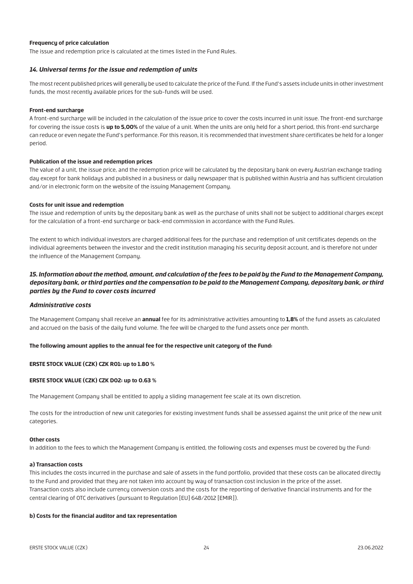#### **Frequency of price calculation**

The issue and redemption price is calculated at the times listed in the Fund Rules.

#### *14. Universal terms for the issue and redemption of units*

The most recent published prices will generally be used to calculate the price of the Fund. If the Fund's assets include units in other investment funds, the most recently available prices for the sub-funds will be used.

#### **Front-end surcharge**

A front-end surcharge will be included in the calculation of the issue price to cover the costs incurred in unit issue. The front-end surcharge for covering the issue costs is **up to 5,00%** of the value of a unit. When the units are only held for a short period, this front-end surcharge can reduce or even negate the Fund's performance. For this reason, it is recommended that investment share certificates be held for a longer period.

#### **Publication of the issue and redemption prices**

The value of a unit, the issue price, and the redemption price will be calculated by the depositary bank on every Austrian exchange trading day except for bank holidays and published in a business or daily newspaper that is published within Austria and has sufficient circulation and/or in electronic form on the website of the issuing Management Company.

#### **Costs for unit issue and redemption**

The issue and redemption of units by the depositary bank as well as the purchase of units shall not be subject to additional charges except for the calculation of a front-end surcharge or back-end commission in accordance with the Fund Rules.

The extent to which individual investors are charged additional fees for the purchase and redemption of unit certificates depends on the individual agreements between the investor and the credit institution managing his security deposit account, and is therefore not under the influence of the Management Company.

## *15. Information about the method, amount, and calculation of the fees to be paid by the Fund to the Management Company, depositary bank, or third parties and the compensation to be paid to the Management Company, depositary bank, or third parties by the Fund to cover costs incurred*

#### *Administrative costs*

The Management Company shall receive an **annual** fee for its administrative activities amounting to **1,8%** of the fund assets as calculated and accrued on the basis of the daily fund volume. The fee will be charged to the fund assets once per month.

#### **The following amount applies to the annual fee for the respective unit category of the Fund:**

#### **ERSTE STOCK VALUE (CZK) CZK R01: up to 1.80 %**

#### **ERSTE STOCK VALUE (CZK) CZK D02: up to 0.63 %**

The Management Company shall be entitled to apply a sliding management fee scale at its own discretion.

The costs for the introduction of new unit categories for existing investment funds shall be assessed against the unit price of the new unit categories.

#### **Other costs**

In addition to the fees to which the Management Company is entitled, the following costs and expenses must be covered by the Fund:

#### **a) Transaction costs**

This includes the costs incurred in the purchase and sale of assets in the fund portfolio, provided that these costs can be allocated directly to the Fund and provided that they are not taken into account by way of transaction cost inclusion in the price of the asset. Transaction costs also include currency conversion costs and the costs for the reporting of derivative financial instruments and for the central clearing of OTC derivatives (pursuant to Regulation [EU] 648/2012 [EMIR]).

#### **b) Costs for the financial auditor and tax representation**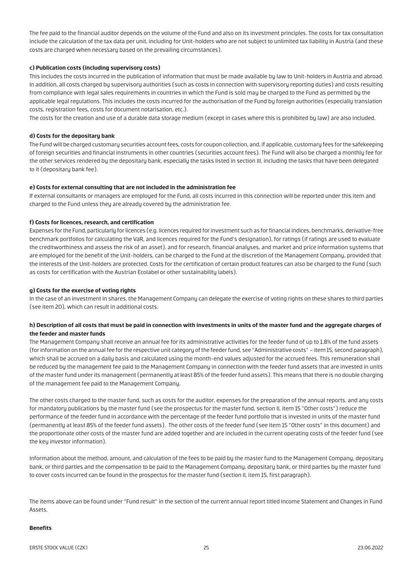The fee paid to the financial auditor depends on the volume of the Fund and also on its investment principles. The costs for tax consultation include the calculation of the tax data per unit, including for Unit-holders who are not subject to unlimited tax liability in Austria (and these costs are charged when necessary based on the prevailing circumstances).

#### **c) Publication costs (including supervisory costs)**

This includes the costs incurred in the publication of information that must be made available by law to Unit-holders in Austria and abroad. In addition, all costs charged by supervisory authorities (such as costs in connection with supervisory reporting duties) and costs resulting from compliance with legal sales requirements in countries in which the Fund is sold may be charged to the Fund as permitted by the applicable legal regulations. This includes the costs incurred for the authorisation of the Fund by foreign authorities (especially translation costs, registration fees, costs for document notarisation, etc.).

The costs for the creation and use of a durable data storage medium (except in cases where this is prohibited by law) are also included.

#### **d) Costs for the depositary bank**

The Fund will be charged customary securities account fees, costs for coupon collection, and, if applicable, customary fees for the safekeeping of foreign securities and financial instruments in other countries (securities account fees). The Fund will also be charged a monthly fee for the other services rendered by the depositary bank, especially the tasks listed in section III, including the tasks that have been delegated to it (depositary bank fee).

#### **e) Costs for external consulting that are not included in the administration fee**

If external consultants or managers are employed for the Fund, all costs incurred in this connection will be reported under this item and charged to the Fund unless they are already covered by the administration fee.

#### **f) Costs for licences, research, and certification**

Expenses for the Fund, particularly for licences (e.g. licences required for investment such as for financial indices, benchmarks, derivative-free benchmark portfolios for calculating the VaR, and licences required for the Fund's designation), for ratings (if ratings are used to evaluate the creditworthiness and assess the risk of an asset), and for research, financial analyses, and market and price information systems that are employed for the benefit of the Unit-holders, can be charged to the Fund at the discretion of the Management Company, provided that the interests of the Unit-holders are protected. Costs for the certification of certain product features can also be charged to the Fund (such as costs for certification with the Austrian Ecolabel or other sustainability labels).

#### **g) Costs for the exercise of voting rights**

In the case of an investment in shares, the Management Company can delegate the exercise of voting rights on these shares to third parties (see item 20), which can result in additional costs.

#### **h) Description of all costs that must be paid in connection with investments in units of the master fund and the aggregate charges of the feeder and master funds**

The Management Company shall receive an annual fee for its administrative activities for the feeder fund of up to 1,8% of the fund assets (for information on the annual fee for the respective unit category of the feeder fund, see "Administrative costs" – item 15, second paragraph), which shall be accrued on a daily basis and calculated using the month-end values adjusted for the accrued fees. This remuneration shall be reduced by the management fee paid to the Management Company in connection with the feeder fund assets that are invested in units of the master fund under its management (permanently at least 85% of the feeder fund assets). This means that there is no double charging of the management fee paid to the Management Company.

The other costs charged to the master fund, such as costs for the auditor, expenses for the preparation of the annual reports, and any costs for mandatory publications by the master fund (see the prospectus for the master fund, section II, item 15 "Other costs") reduce the performance of the feeder fund in accordance with the percentage of the feeder fund portfolio that is invested in units of the master fund (permanently at least 85% of the feeder fund assets). The other costs of the feeder fund (see item 15 "Other costs" in this document) and the proportionate other costs of the master fund are added together and are included in the current operating costs of the feeder fund (see the key investor information).

Information about the method, amount, and calculation of the fees to be paid by the master fund to the Management Company, depositary bank, or third parties and the compensation to be paid to the Management Company, depositary bank, or third parties by the master fund to cover costs incurred can be found in the prospectus for the master fund (section II, item 15, first paragraph).

The items above can be found under "Fund result" in the section of the current annual report titled Income Statement and Changes in Fund Assets.

#### **Benefits**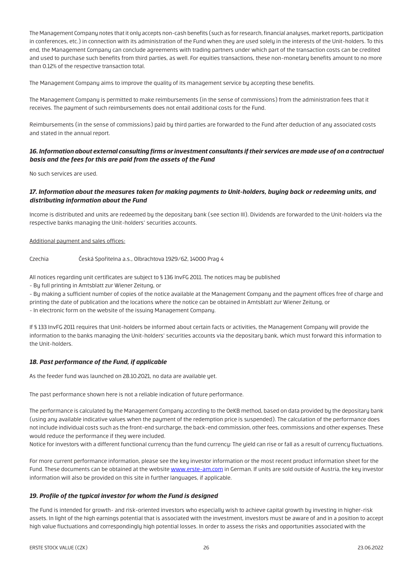The Management Company notes that it only accepts non-cash benefits (such as for research, financial analyses, market reports, participation in conferences, etc.) in connection with its administration of the Fund when they are used solely in the interests of the Unit-holders. To this end, the Management Company can conclude agreements with trading partners under which part of the transaction costs can be credited and used to purchase such benefits from third parties, as well. For equities transactions, these non-monetary benefits amount to no more than 0.12% of the respective transaction total.

The Management Company aims to improve the quality of its management service by accepting these benefits.

The Management Company is permitted to make reimbursements (in the sense of commissions) from the administration fees that it receives. The payment of such reimbursements does not entail additional costs for the Fund.

Reimbursements (in the sense of commissions) paid by third parties are forwarded to the Fund after deduction of any associated costs and stated in the annual report.

## *16. Information about external consulting firms or investment consultants if their services are made use of on a contractual basis and the fees for this are paid from the assets of the Fund*

No such services are used.

## *17. Information about the measures taken for making payments to Unit-holders, buying back or redeeming units, and distributing information about the Fund*

Income is distributed and units are redeemed by the depositary bank (see section III). Dividends are forwarded to the Unit-holders via the respective banks managing the Unit-holders' securities accounts.

#### Additional payment and sales offices:

Czechia Česká Spořitelna a.s., Olbrachtova 1929/62, 14000 Prag 4

All notices regarding unit certificates are subject to § 136 InvFG 2011. The notices may be published

- By full printing in Amtsblatt zur Wiener Zeitung, or

- By making a sufficient number of copies of the notice available at the Management Company and the payment offices free of charge and

printing the date of publication and the locations where the notice can be obtained in Amtsblatt zur Wiener Zeitung, or

- In electronic form on the website of the issuing Management Company.

If § 133 InvFG 2011 requires that Unit-holders be informed about certain facts or activities, the Management Company will provide the information to the banks managing the Unit-holders' securities accounts via the depositary bank, which must forward this information to the Unit-holders.

## *18. Past performance of the Fund, if applicable*

As the feeder fund was launched on 28.10.2021, no data are available yet.

The past performance shown here is not a reliable indication of future performance.

The performance is calculated bu the Management Company according to the OeKB method, based on data provided by the depositary bank (using any available indicative values when the payment of the redemption price is suspended). The calculation of the performance does not include individual costs such as the front-end surcharge, the back-end commission, other fees, commissions and other expenses. These would reduce the performance if they were included.

Notice for investors with a different functional currency than the fund currency: The yield can rise or fall as a result of currency fluctuations.

For more current performance information, please see the key investor information or the most recent product information sheet for the Fund. These documents can be obtained at the website [www.erste-am.com](https://www.erste-am.com/) in German. If units are sold outside of Austria, the keu investor information will also be provided on this site in further languages, if applicable.

## *19. Profile of the typical investor for whom the Fund is designed*

The Fund is intended for growth- and risk-oriented investors who especially wish to achieve capital growth by investing in higher-risk assets. In light of the high earnings potential that is associated with the investment, investors must be aware of and in a position to accept high value fluctuations and correspondingly high potential losses. In order to assess the risks and opportunities associated with the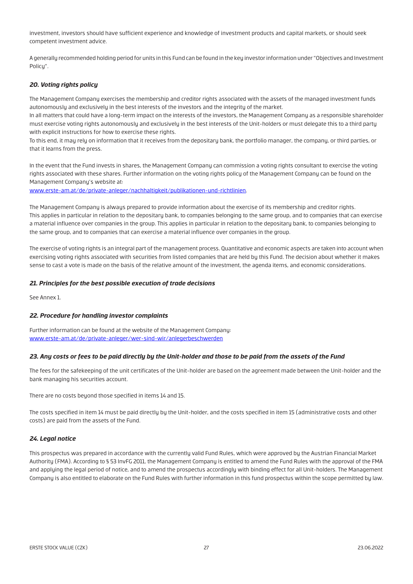investment, investors should have sufficient experience and knowledge of investment products and capital markets, or should seek competent investment advice.

A generally recommended holding period for units in this Fund can be found in the key investor information under "Objectives and Investment Policy".

#### *20. Voting rights policy*

The Management Company exercises the membership and creditor rights associated with the assets of the managed investment funds autonomously and exclusively in the best interests of the investors and the integrity of the market.

In all matters that could have a long-term impact on the interests of the investors, the Management Company as a responsible shareholder must exercise voting rights autonomously and exclusively in the best interests of the Unit-holders or must delegate this to a third party with explicit instructions for how to exercise these rights.

To this end, it may rely on information that it receives from the depositary bank, the portfolio manager, the company, or third parties, or that it learns from the press.

In the event that the Fund invests in shares, the Management Company can commission a voting rights consultant to exercise the voting rights associated with these shares. Further information on the voting rights policy of the Management Company can be found on the Management Company's website at:

[www.erste-am.at/de/private-anleger/nachhaltigkeit/publikationen-und-richtlinien](https://www.erste-am.at/de/private-anleger/nachhaltigkeit/publikationen-und-richtlinien).

The Management Company is always prepared to provide information about the exercise of its membership and creditor rights. This applies in particular in relation to the depositary bank, to companies belonging to the same group, and to companies that can exercise a material influence over companies in the group. This applies in particular in relation to the depositary bank, to companies belonging to the same group, and to companies that can exercise a material influence over companies in the group.

The exercise of voting rights is an integral part of the management process. Quantitative and economic aspects are taken into account when exercising voting rights associated with securities from listed companies that are held by this Fund. The decision about whether it makes sense to cast a vote is made on the basis of the relative amount of the investment, the agenda items, and economic considerations.

## *21. Principles for the best possible execution of trade decisions*

See Annex 1.

#### *22. Procedure for handling investor complaints*

Further information can be found at the website of the Management Company: [www.erste-am.at/de/private-anleger/wer-sind-wir/anlegerbeschwerden](https://www.erste-am.at/de/private-anleger/wer-sind-wir/anlegerbeschwerden)

#### *23. Any costs or fees to be paid directly by the Unit-holder and those to be paid from the assets of the Fund*

The fees for the safekeeping of the unit certificates of the Unit-holder are based on the agreement made between the Unit-holder and the bank managing his securities account.

There are no costs beyond those specified in items 14 and 15.

The costs specified in item 14 must be paid directly by the Unit-holder, and the costs specified in item 15 (administrative costs and other costs) are paid from the assets of the Fund.

#### *24. Legal notice*

This prospectus was prepared in accordance with the currently valid Fund Rules, which were approved by the Austrian Financial Market Authority (FMA). According to § 53 InvFG 2011, the Management Company is entitled to amend the Fund Rules with the approval of the FMA and applying the legal period of notice, and to amend the prospectus accordingly with binding effect for all Unit-holders. The Management Company is also entitled to elaborate on the Fund Rules with further information in this fund prospectus within the scope permitted by law.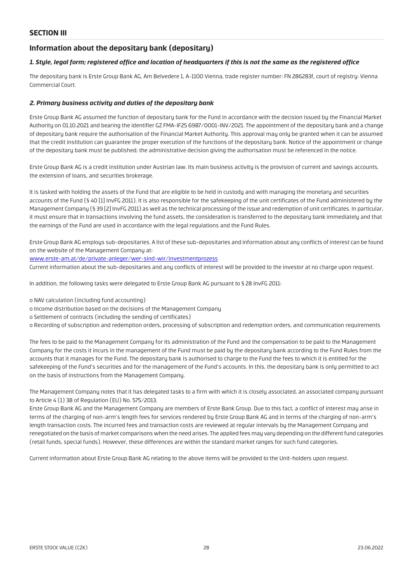## **SECTION III**

## **Information about the depositary bank (depositary)**

## *1. Style, legal form; registered office and location of headquarters if this is not the same as the registered office*

The depositary bank is Erste Group Bank AG, Am Belvedere 1, A-1100 Vienna, trade register number: FN 286283f, court of registry: Vienna Commercial Court.

## *2. Primary business activity and duties of the depositary bank*

Erste Group Bank AG assumed the function of depositary bank for the Fund in accordance with the decision issued by the Financial Market Authority on 01.10.2021 and bearing the identifier GZ FMA-IF25 6987/0001-INV/2021. The appointment of the depositary bank and a change of depositary bank require the authorisation of the Financial Market Authority. This approval may only be granted when it can be assumed that the credit institution can guarantee the proper execution of the functions of the depositary bank. Notice of the appointment or change of the depositary bank must be published; the administrative decision giving the authorisation must be referenced in the notice.

Erste Group Bank AG is a credit institution under Austrian law. Its main business activity is the provision of current and savings accounts, the extension of loans, and securities brokerage.

It is tasked with holding the assets of the Fund that are eligible to be held in custody and with managing the monetary and securities accounts of the Fund (§ 40 [1] InvFG 2011). It is also responsible for the safekeeping of the unit certificates of the Fund administered by the Management Company (§ 39 [2] InvFG 2011) as well as the technical processing of the issue and redemption of unit certificates. In particular, it must ensure that in transactions involving the fund assets, the consideration is transferred to the depositary bank immediately and that the earnings of the Fund are used in accordance with the legal regulations and the Fund Rules.

Erste Group Bank AG employs sub-depositaries. A list of these sub-depositaries and information about any conflicts of interest can be found on the website of the Management Company at:

[www.erste-am.at/de/private-anleger/wer-sind-wir/investmentprozess](https://www.erste-am.at/de/private-anleger/wer-sind-wir/investmentprozess)

Current information about the sub-depositaries and any conflicts of interest will be provided to the investor at no charge upon request.

In addition, the following tasks were delegated to Erste Group Bank AG pursuant to § 28 InvFG 2011:

o NAV calculation (including fund accounting)

o Income distribution based on the decisions of the Management Company

- o Settlement of contracts (including the sending of certificates)
- o Recording of subscription and redemption orders, processing of subscription and redemption orders, and communication requirements

The fees to be paid to the Management Company for its administration of the Fund and the compensation to be paid to the Management Company for the costs it incurs in the management of the Fund must be paid by the depositary bank according to the Fund Rules from the accounts that it manages for the Fund. The depositary bank is authorised to charge to the Fund the fees to which it is entitled for the safekeeping of the Fund's securities and for the management of the Fund's accounts. In this, the depositary bank is only permitted to act on the basis of instructions from the Management Company.

The Management Company notes that it has delegated tasks to a firm with which it is closely associated, an associated company pursuant to Article 4 (1) 38 of Regulation (EU) No. 575/2013.

Erste Group Bank AG and the Management Company are members of Erste Bank Group. Due to this fact, a conflict of interest may arise in terms of the charging of non-arm's length fees for services rendered by Erste Group Bank AG and in terms of the charging of non-arm's length transaction costs. The incurred fees and transaction costs are reviewed at regular intervals by the Management Company and renegotiated on the basis of market comparisons when the need arises. The applied fees may vary depending on the different fund categories (retail funds, special funds). However, these differences are within the standard market ranges for such fund categories.

Current information about Erste Group Bank AG relating to the above items will be provided to the Unit-holders upon request.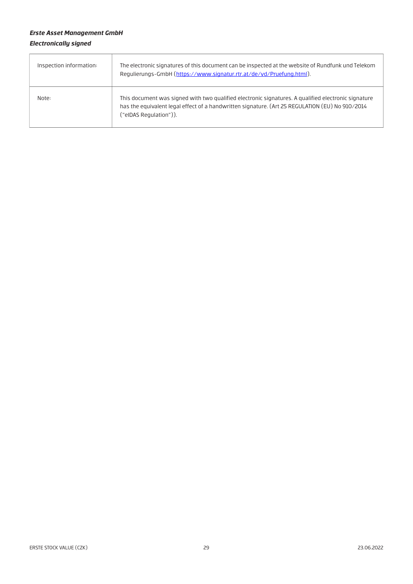## *Erste Asset Management GmbH Electronically signed*

| Inspection information: | The electronic signatures of this document can be inspected at the website of Rundfunk und Telekom<br>Regulierungs-GmbH (https://www.signatur.rtr.at/de/vd/Pruefung.html).                                                       |
|-------------------------|----------------------------------------------------------------------------------------------------------------------------------------------------------------------------------------------------------------------------------|
| Note:                   | This document was signed with two qualified electronic signatures. A qualified electronic signature<br>has the equivalent legal effect of a handwritten signature. (Art 25 REGULATION (EU) No 910/2014<br>("elDAS Regulation")). |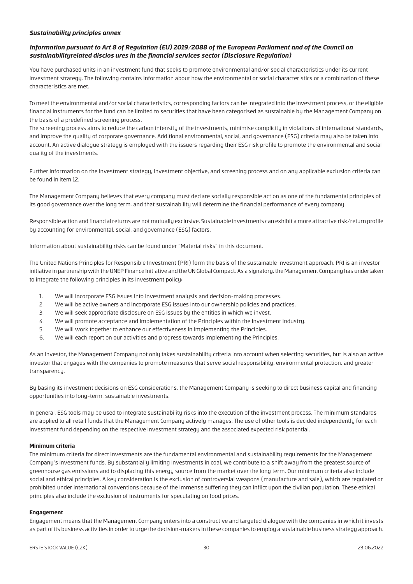#### *Sustainability principles annex*

## *Information pursuant to Art 8 of Regulation (EU) 2019/2088 of the European Parliament and of the Council on sustainabilityrelated disclos ures in the financial services sector (Disclosure Regulation)*

You have purchased units in an investment fund that seeks to promote environmental and/or social characteristics under its current investment strategy. The following contains information about how the environmental or social characteristics or a combination of these characteristics are met.

To meet the environmental and/or social characteristics, corresponding factors can be integrated into the investment process, or the eligible financial instruments for the fund can be limited to securities that have been categorised as sustainable by the Management Company on the basis of a predefined screening process.

The screening process aims to reduce the carbon intensity of the investments, minimise complicity in violations of international standards, and improve the quality of corporate governance. Additional environmental, social, and governance (ESG) criteria may also be taken into account. An active dialogue strategy is employed with the issuers regarding their ESG risk profile to promote the environmental and social quality of the investments.

Further information on the investment strategy, investment objective, and screening process and on any applicable exclusion criteria can be found in item 12.

The Management Company believes that every company must declare socially responsible action as one of the fundamental principles of its good governance over the long term, and that sustainability will determine the financial performance of every company.

Responsible action and financial returns are not mutually exclusive. Sustainable investments can exhibit a more attractive risk/return profile by accounting for environmental, social, and governance (ESG) factors.

Information about sustainability risks can be found under "Material risks" in this document.

The United Nations Principles for Responsible Investment (PRI) form the basis of the sustainable investment approach. PRI is an investor initiative in partnership with the UNEP Finance Initiative and the UN Global Compact. As a signatory, the Management Company has undertaken to integrate the following principles in its investment policy:

- 1. We will incorporate ESG issues into investment analysis and decision-making processes.
- 2. We will be active owners and incorporate ESG issues into our ownership policies and practices.
- 3. We will seek appropriate disclosure on ESG issues by the entities in which we invest.
- 4. We will promote acceptance and implementation of the Principles within the investment industry.
- 5. We will work together to enhance our effectiveness in implementing the Principles.
- 6. We will each report on our activities and progress towards implementing the Principles.

As an investor, the Management Company not only takes sustainability criteria into account when selecting securities, but is also an active investor that engages with the companies to promote measures that serve social responsibility, environmental protection, and greater transparency.

By basing its investment decisions on ESG considerations, the Management Company is seeking to direct business capital and financing opportunities into long-term, sustainable investments.

In general, ESG tools may be used to integrate sustainability risks into the execution of the investment process. The minimum standards are applied to all retail funds that the Management Company actively manages. The use of other tools is decided independently for each investment fund depending on the respective investment strategy and the associated expected risk potential.

#### **Minimum criteria**

The minimum criteria for direct investments are the fundamental environmental and sustainability requirements for the Management Company's investment funds. By substantially limiting investments in coal, we contribute to a shift away from the greatest source of greenhouse gas emissions and to displacing this energy source from the market over the long term. Our minimum criteria also include social and ethical principles. A key consideration is the exclusion of controversial weapons (manufacture and sale), which are regulated or prohibited under international conventions because of the immense suffering they can inflict upon the civilian population. These ethical principles also include the exclusion of instruments for speculating on food prices.

#### **Engagement**

Engagement means that the Management Company enters into a constructive and targeted dialogue with the companies in which it invests as part of its business activities in order to urge the decision-makers in these companies to employ a sustainable business strategy approach.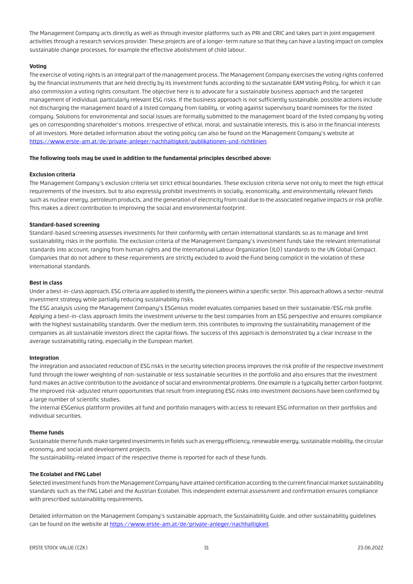The Management Company acts directly as well as through investor platforms such as PRI and CRIC and takes part in joint engagement activities through a research services provider. These projects are of a longer-term nature so that they can have a lasting impact on complex sustainable change processes, for example the effective abolishment of child labour.

#### **Voting**

The exercise of voting rights is an integral part of the management process. The Management Company exercises the voting rights conferred by the financial instruments that are held directly by its investment funds according to the sustainable EAM Voting Policy, for which it can also commission a voting rights consultant. The objective here is to advocate for a sustainable business approach and the targeted management of individual, particularly relevant ESG risks. If the business approach is not sufficiently sustainable, possible actions include not discharging the management board of a listed company from liability, or voting against supervisory board nominees for the listed company. Solutions for environmental and social issues are formally submitted to the management board of the listed company by voting yes on corresponding shareholder's motions. Irrespective of ethical, moral, and sustainable interests, this is also in the financial interests of all investors. More detailed information about the voting policy can also be found on the Management Company's website at <https://www.erste-am.at/de/private-anleger/nachhaltigkeit/publikationen-und-richtlinien>.

#### **The following tools may be used in addition to the fundamental principles described above:**

#### **Exclusion criteria**

The Management Company's exclusion criteria set strict ethical boundaries. These exclusion criteria serve not only to meet the high ethical requirements of the investors, but to also expressly prohibit investments in socially, economically, and environmentally relevant fields such as nuclear energy, petroleum products, and the generation of electricity from coal due to the associated negative impacts or risk profile. This makes a direct contribution to improving the social and environmental footprint.

#### **Standard-based screening**

Standard-based screening assesses investments for their conformity with certain international standards so as to manage and limit sustainability risks in the portfolio. The exclusion criteria of the Management Company's investment funds take the relevant international standards into account, ranging from human rights and the International Labour Organization (ILO) standards to the UN Global Compact. Companies that do not adhere to these requirements are strictly excluded to avoid the Fund being complicit in the violation of these international standards.

#### **Best in class**

Under a best-in-class approach, ESG criteria are applied to identify the pioneers within a specific sector. This approach allows a sector-neutral investment strategy while partially reducing sustainability risks.

The ESG analysis using the Management Company's ESGenius model evaluates companies based on their sustainable/ESG risk profile. Applying a best-in-class approach limits the investment universe to the best companies from an ESG perspective and ensures compliance with the highest sustainability standards. Over the medium term, this contributes to improving the sustainability management of the companies as all sustainable investors direct the capital flows. The success of this approach is demonstrated by a clear increase in the average sustainability rating, especially in the European market.

#### **Integration**

The integration and associated reduction of ESG risks in the security selection process improves the risk profile of the respective investment fund through the lower weighting of non-sustainable or less sustainable securities in the portfolio and also ensures that the investment fund makes an active contribution to the avoidance of social and environmental problems. One example is a typically better carbon footprint. The improved risk-adjusted return opportunities that result from integrating ESG risks into investment decisions have been confirmed by a large number of scientific studies.

The internal ESGenius plattform provides all fund and portfolio managers with access to relevant ESG information on their portfolios and individual securities.

#### **Theme funds**

Sustainable theme funds make targeted investments in fields such as energy efficiency, renewable energy, sustainable mobility, the circular economy, and social and development projects.

The sustainability-related impact of the respective theme is reported for each of these funds.

#### **The Ecolabel and FNG Label**

Selected investment funds from the Management Company have attained certification according to the current financial market sustainability standards such as the FNG Label and the Austrian Ecolabel. This independent external assessment and confirmation ensures compliance with prescribed sustainability requirements.

Detailed information on the Management Company's sustainable approach, the Sustainability Guide, and other sustainability guidelines can be found on the website at<https://www.erste-am.at/de/private-anleger/nachhaltigkeit>.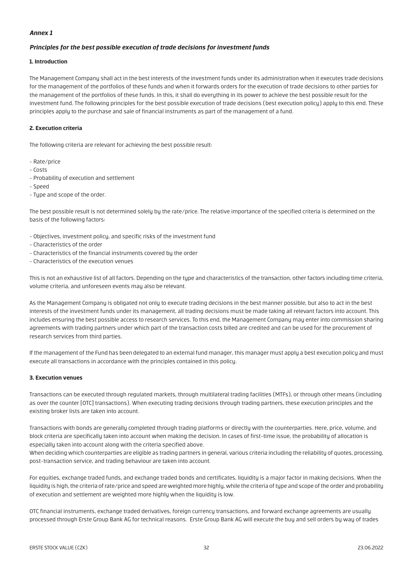#### *Annex 1*

#### *Principles for the best possible execution of trade decisions for investment funds*

#### **1. Introduction**

The Management Company shall act in the best interests of the investment funds under its administration when it executes trade decisions for the management of the portfolios of these funds and when it forwards orders for the execution of trade decisions to other parties for the management of the portfolios of these funds. In this, it shall do everything in its power to achieve the best possible result for the investment fund. The following principles for the best possible execution of trade decisions (best execution policy) apply to this end. These principles apply to the purchase and sale of financial instruments as part of the management of a fund.

## **2. Execution criteria**

The following criteria are relevant for achieving the best possible result:

- Rate/price
- Costs
- Probability of execution and settlement
- Speed
- Type and scope of the order.

The best possible result is not determined solely by the rate/price. The relative importance of the specified criteria is determined on the basis of the following factors:

- Objectives, investment policy, and specific risks of the investment fund
- Characteristics of the order
- Characteristics of the financial instruments covered by the order
- Characteristics of the execution venues

This is not an exhaustive list of all factors. Depending on the type and characteristics of the transaction, other factors including time criteria, volume criteria, and unforeseen events may also be relevant.

As the Management Company is obligated not only to execute trading decisions in the best manner possible, but also to act in the best interests of the investment funds under its management, all trading decisions must be made taking all relevant factors into account. This includes ensuring the best possible access to research services. To this end, the Management Company may enter into commission sharing agreements with trading partners under which part of the transaction costs billed are credited and can be used for the procurement of research services from third parties.

If the management of the Fund has been delegated to an external fund manager, this manager must apply a best execution policy and must execute all transactions in accordance with the principles contained in this policy.

#### **3. Execution venues**

Transactions can be executed through regulated markets, through multilateral trading facilities (MTFs), or through other means (including as over the counter [OTC] transactions). When executing trading decisions through trading partners, these execution principles and the existing broker lists are taken into account.

Transactions with bonds are generally completed through trading platforms or directly with the counterparties. Here, price, volume, and block criteria are specifically taken into account when making the decision. In cases of first-time issue, the probability of allocation is especially taken into account along with the criteria specified above.

When deciding which counterparties are eligible as trading partners in general, various criteria including the reliability of quotes, processing, post-transaction service, and trading behaviour are taken into account.

For equities, exchange traded funds, and exchange traded bonds and certificates, liquidity is a major factor in making decisions. When the liquidity is high, the criteria of rate/price and speed are weighted more highly, while the criteria of type and scope of the order and probability of execution and settlement are weighted more highly when the liquidity is low.

OTC financial instruments, exchange traded derivatives, foreign currency transactions, and forward exchange agreements are usually processed through Erste Group Bank AG for technical reasons. Erste Group Bank AG will execute the buy and sell orders by way of trades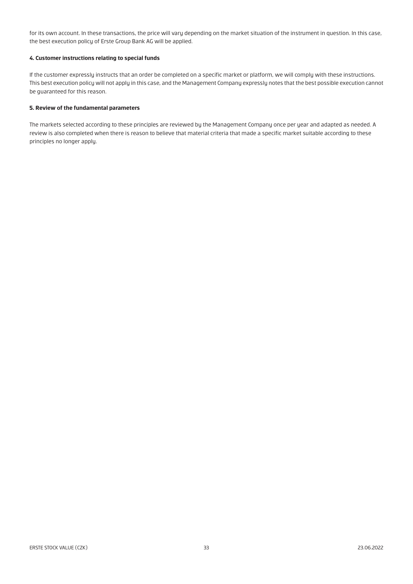for its own account. In these transactions, the price will vary depending on the market situation of the instrument in question. In this case, the best execution policy of Erste Group Bank AG will be applied.

#### **4. Customer instructions relating to special funds**

If the customer expressly instructs that an order be completed on a specific market or platform, we will comply with these instructions. This best execution policy will not apply in this case, and the Management Company expressly notes that the best possible execution cannot be guaranteed for this reason.

#### **5. Review of the fundamental parameters**

The markets selected according to these principles are reviewed by the Management Company once per year and adapted as needed. A review is also completed when there is reason to believe that material criteria that made a specific market suitable according to these principles no longer apply.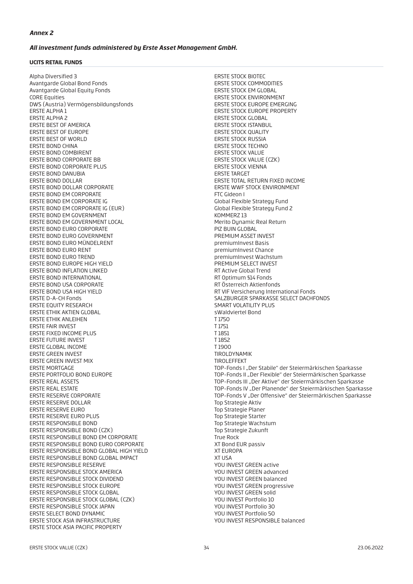#### *Annex 2*

#### *All investment funds administered by Erste Asset Management GmbH.*

#### **UCITS RETAIL FUNDS**

Alpha Diversified 3 Avantgarde Global Bond Fonds Avantgarde Global Equity Fonds CORE Equities DWS (Austria) Vermögensbildungsfonds ERSTE ALPHA 1 ERSTE ALPHA 2 ERSTE BEST OF AMERICA ERSTE BEST OF EUROPE ERSTE BEST OF WORLD ERSTE BOND CHINA ERSTE BOND COMBIRENT ERSTE BOND CORPORATE BB ERSTE BOND CORPORATE PLUS ERSTE BOND DANUBIA ERSTE BOND DOLLAR ERSTE BOND DOLLAR CORPORATE ERSTE BOND EM CORPORATE ERSTE BOND EM CORPORATE IG ERSTE BOND EM CORPORATE IG (EUR) ERSTE BOND EM GOVERNMENT ERSTE BOND EM GOVERNMENT LOCAL ERSTE BOND EURO CORPORATE ERSTE BOND EURO GOVERNMENT ERSTE BOND EURO MÜNDELRENT ERSTE BOND EURO RENT ERSTE BOND EURO TREND ERSTE BOND EUROPE HIGH YIELD ERSTE BOND INFLATION LINKED ERSTE BOND INTERNATIONAL ERSTE BOND USA CORPORATE ERSTE BOND USA HIGH YIELD ERSTE D-A-CH Fonds ERSTE EQUITY RESEARCH ERSTE ETHIK AKTIEN GLOBAL ERSTE ETHIK ANLEIHEN ERSTE FAIR INVEST ERSTE FIXED INCOME PLUS ERSTE FUTURE INVEST ERSTE GLOBAL INCOME ERSTE GREEN INVEST ERSTE GREEN INVEST MIX ERSTE MORTGAGE ERSTE PORTFOLIO BOND EUROPE ERSTE REAL ASSETS ERSTE REAL ESTATE ERSTE RESERVE CORPORATE ERSTE RESERVE DOLLAR ERSTE RESERVE EURO ERSTE RESERVE EURO PLUS ERSTE RESPONSIBLE BOND ERSTE RESPONSIBLE BOND (CZK) ERSTE RESPONSIBLE BOND EM CORPORATE ERSTE RESPONSIBLE BOND EURO CORPORATE ERSTE RESPONSIBLE BOND GLOBAL HIGH YIELD ERSTE RESPONSIBLE BOND GLOBAL IMPACT ERSTE RESPONSIBLE RESERVE ERSTE RESPONSIBLE STOCK AMERICA ERSTE RESPONSIBLE STOCK DIVIDEND ERSTE RESPONSIBLE STOCK EUROPE ERSTE RESPONSIBLE STOCK GLOBAL ERSTE RESPONSIBLE STOCK GLOBAL (CZK) ERSTE RESPONSIBLE STOCK JAPAN ERSTE SELECT BOND DYNAMIC ERSTE STOCK ASIA INFRASTRUCTURE ERSTE STOCK ASIA PACIFIC PROPERTY

ERSTE STOCK BIOTEC ERSTE STOCK COMMODITIES ERSTE STOCK EM GLOBAL ERSTE STOCK ENVIRONMENT ERSTE STOCK EUROPE EMERGING ERSTE STOCK EUROPE PROPERTY ERSTE STOCK GLOBAL ERSTE STOCK ISTANBUL ERSTE STOCK QUALITY ERSTE STOCK RUSSIA ERSTE STOCK TECHNO ERSTE STOCK VALUE ERSTE STOCK VALUE (CZK) ERSTE STOCK VIENNA ERSTE TARGET ERSTE TOTAL RETURN FIXED INCOME ERSTE WWF STOCK ENVIRONMENT FTC Gideon I Global Flexible Strategy Fund Global Flexible Strategy Fund 2 KOMMERZ 13 Merito Dynamic Real Return PIZ BUIN GLOBAL PREMIUM ASSET INVEST premiumInvest Basis premiumInvest Chance premiumInvest Wachstum PREMIUM SELECT INVEST RT Active Global Trend RT Optimum §14 Fonds RT Österreich Aktienfonds RT VIF Versicherung International Fonds SALZBURGER SPARKASSE SELECT DACHFONDS SMART VOLATILITY PLUS sWaldviertel Bond T 1750 T 1751 T 1851 T 1852 T 1900 TIROLDYNAMIK **TIROL FFFFKT** TOP-Fonds I "Der Stabile" der Steiermärkischen Sparkasse TOP-Fonds II "Der Flexible" der Steiermärkischen Sparkasse TOP-Fonds III "Der Aktive" der Steiermärkischen Sparkasse TOP-Fonds IV "Der Planende" der Steiermärkischen Sparkasse TOP-Fonds V "Der Offensive" der Steiermärkischen Sparkasse Top Strategie Aktiv Top Strategie Planer Top Strategie Starter Top Strategie Wachstum Top Strategie Zukunft True Rock XT Bond EUR passiv **XT EUROPA** XT USA YOU INVEST GREEN active YOU INVEST GREEN advanced YOU INVEST GREEN balanced YOU INVEST GREEN progressive YOU INVEST GREEN solid YOU INVEST Portfolio 10 YOU INVEST Portfolio 30 YOU INVEST Portfolio 50 YOU INVEST RESPONSIBLE balanced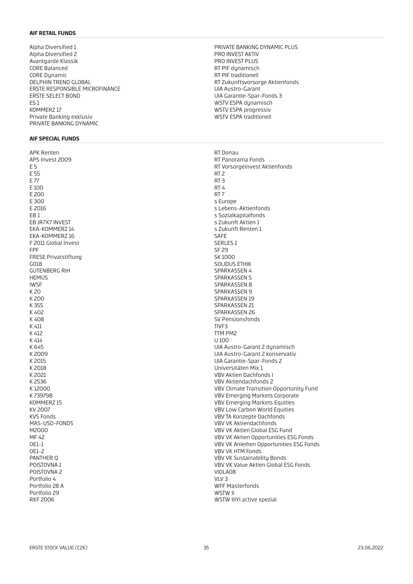#### **AIF RETAIL FUNDS**

Alpha Diversified 1 Alpha Diversified 2 Avantgarde Klassik CORE Balanced CORE Dunamic DELPHIN TREND GLOBAL ERSTE RESPONSIBLE MICROFINANCE ERSTE SELECT BOND ES 1 KOMMERZ 17 Private Banking exklusiv PRIVATE BANKING DYNAMIC

#### **AIF SPECIAL FUNDS**

APK Renten APS Invest 2009 E 5 E 55 E 77 E 100 E 200 E 300 E 2016 EB 1 EB JR7X7 INVEST EKA-KOMMERZ 14 EKA-KOMMERZ 16 F 2011 Global Invest FPF FRESE Privatstiftung GO18 GUTENBERG RIH **HEMUS** IWSF K 20 K 200 K 355 K 402 K 408 K 411 K 412 K 414 K 645 K 2009 K 2015 K 2018 K 2021 K 2536 K 12000 K 739798 KOMMERZ 15 KV 2007 KVS Fonds MAS-USD-FONDS M2000 MF 42 OE1-1 OE1-2 PANTHER Q POISTOVNA 1 POISTOVNA 2 Portfolio 4 Portfolio 28 A Portfolio 29 RKF 2006

PRIVATE BANKING DYNAMIC PLUS PRO INVEST AKTIV PRO INVEST PLUS RT PIF dynamisch RT PIF traditionell RT Zukunftsvorsorge Aktienfonds UIA Austro-Garant UIA Garantie-Spar-Fonds 3 WSTV ESPA dynamisch WSTV ESPA progressiv WSTV ESPA traditionell

RT Donau RT Panorama Fonds RT Vorsorgeinvest Aktienfonds RT 2 RT 3 RT 4 RT 7 s Europe s Lebens-Aktienfonds s Sozialkapitalfonds s Zukunft Aktien 1 s Zukunft Renten 1 SAFE SERLES 1 SF 29 SK 1000 SOLIDUS ETHIK SPARKASSEN 4 SPARKASSEN 5 SPARKASSEN 8 SPARKASSEN 9 SPARKASSEN 19 SPARKASSEN 21 SPARKASSEN 26 SV Pensionsfonds TIVF3 TTM PM2  $11100$ UIA Austro-Garant 2 dunamisch UIA Austro-Garant 2 konservativ UIA Garantie-Spar-Fonds 2 Universitäten Mix 1 VBV Aktien Dachfonds I VBV Aktiendachfonds 2 VBV Climate Transition Opportunity Fund VBV Emerging Markets Corporate VBV Emerging Markets Equities VBV Low Carbon World Equities VBV TA Konzepte Dachfonds VBV VK Aktiendachfonds VBV VK Aktien Global ESG Fund VBV VK Aktien Opportunities ESG Fonds VBV VK Anleihen Opportunities ESG Fonds VBV VK HTM Fonds VBV VK Sustainability Bonds VBV VK Value Aktien Global ESG Fonds VIOLA08 VLV 3 WFF Masterfonds WSTW II WSTW IIIYI active spezial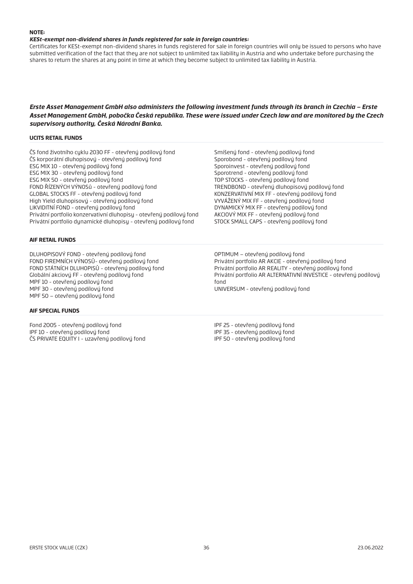#### **NOTE:**

#### *KESt-exempt non-dividend shares in funds registered for sale in foreign countries:*

Certificates for KESt-exempt non-dividend shares in funds registered for sale in foreign countries will only be issued to persons who have submitted verification of the fact that they are not subject to unlimited tax liability in Austria and who undertake before purchasing the shares to return the shares at any point in time at which they become subject to unlimited tax liability in Austria.

## *Erste Asset Management GmbH also administers the following investment funds through its branch in Czechia – Erste Asset Management GmbH, pobočka Česká republika. These were issued under Czech law and are monitored by the Czech supervisory authority, Česká Národní Banka.*

#### **UCITS RETAIL FUNDS**

ČS fond životního cyklu 2030 FF - otevřený podílový fond ČS korporátní dluhopisový - otevřený podílový fond ESG MIX 10 - otevřený podílový fond ESG MIX 30 - otevřený podílový fond ESG MIX 50 - otevřený podílový fond FOND ŘÍZENÝCH VÝNOSů - otevřený podílový fond GLOBAL STOCKS FF - otevřený podílový fond High Yield dluhopisový - otevřený podílový fond LIKVIDITNÍ FOND - otevřený podílový fond Privátní portfolio konzervativní dluhopisy - otevřený podílový fond Privátní portfolio dynamické dluhopisy - otevřený podílový fond

#### **AIF RETAIL FUNDS**

DLUHOPISOVÝ FOND - otevřený podílový fond FOND FIREMNÍCH VÝNOSŮ- otevřený podílový fond FOND STÁTNÍCH DLUHOPISŮ - otevřený podílový fond Globální akciový FF - otevřený podílový fond MPF 10 - otevřený podílový fond MPF 30 - otevřený podílový fond MPF 50 – otevřený podílový fond

Smíšený fond - otevřený podílový fond Sporobond - otevřený podílový fond Sporoinvest - otevřený podílový fond Sporotrend - otevřený podílový fond TOP STOCKS - otevřený podílový fond TRENDBOND - otevřený dluhopisový podílový fond KONZERVATIVNÍ MIX FF - otevřený podílový fond VYVÁŽENÝ MIX FF - otevřený podílový fond DYNAMICKÝ MIX FF - otevřený podílový fond AKCIOVÝ MIX FF - otevřený podílový fond STOCK SMALL CAPS - otevřený podílový fond

OPTIMUM – otevřený podílový fond Privátní portfolio AR AKCIE - otevřený podílový fond Privátní portfolio AR REALITY - otevřený podílový fond Privátní portfolio AR ALTERNATIVNÍ INVESTICE - otevřený podílový fond UNIVERSUM - otevřený podílový fond

#### **AIF SPECIAL FUNDS**

Fond 2005 - otevřený podílový fond IPF 10 - otevřený podílový fond ČS PRIVATE EQUITY I - uzavřený podílový fond

IPF 25 - otevřený podílový fond IPF 35 - otevřený podílový fond IPF 50 - otevřený podílový fond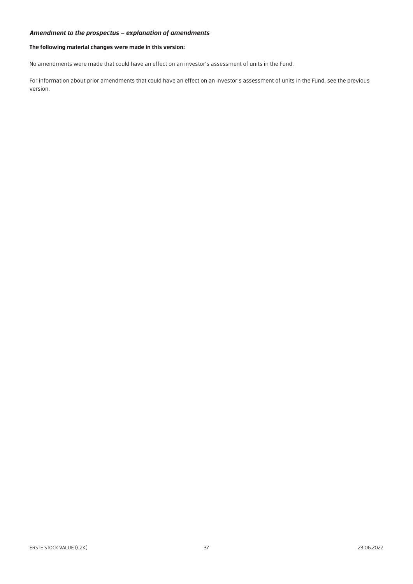## *Amendment to the prospectus – explanation of amendments*

## **The following material changes were made in this version:**

No amendments were made that could have an effect on an investor's assessment of units in the Fund.

For information about prior amendments that could have an effect on an investor's assessment of units in the Fund, see the previous version.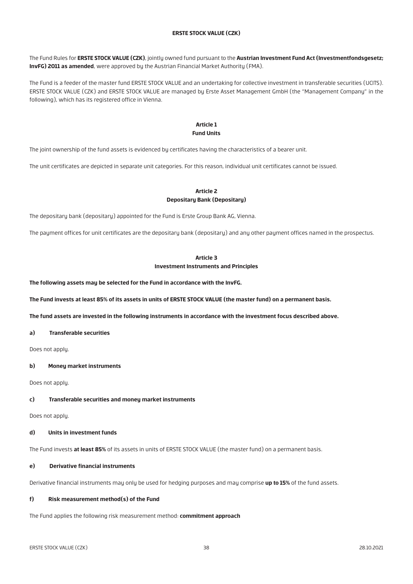#### **ERSTE STOCK VALUE (CZK)**

The Fund Rules for **ERSTE STOCK VALUE (CZK)**, jointly owned fund pursuant to the **Austrian Investment Fund Act (Investmentfondsgesetz; InvFG) 2011 as amended**, were approved by the Austrian Financial Market Authority (FMA).

The Fund is a feeder of the master fund ERSTE STOCK VALUE and an undertaking for collective investment in transferable securities (UCITS). ERSTE STOCK VALUE (CZK) and ERSTE STOCK VALUE are managed by Erste Asset Management GmbH (the "Management Company" in the following), which has its registered office in Vienna.

## **Article 1 Fund Units**

The joint ownership of the fund assets is evidenced by certificates having the characteristics of a bearer unit.

The unit certificates are depicted in separate unit categories. For this reason, individual unit certificates cannot be issued.

## **Article 2 Depositary Bank (Depositary)**

The depositary bank (depositary) appointed for the Fund is Erste Group Bank AG, Vienna.

The payment offices for unit certificates are the depositary bank (depositary) and any other payment offices named in the prospectus.

#### **Article 3 Investment Instruments and Principles**

**The following assets may be selected for the Fund in accordance with the InvFG.**

**The Fund invests at least 85% of its assets in units of ERSTE STOCK VALUE (the master fund) on a permanent basis.**

**The fund assets are invested in the following instruments in accordance with the investment focus described above.**

#### **a) Transferable securities**

Does not apply.

#### **b) Money market instruments**

Does not apply.

#### **c) Transferable securities and money market instruments**

Does not apply.

#### **d) Units in investment funds**

The Fund invests **at least 85%** of its assets in units of ERSTE STOCK VALUE (the master fund) on a permanent basis.

## **e) Derivative financial instruments**

Derivative financial instruments may only be used for hedging purposes and may comprise **up to 15%** of the fund assets.

#### **f) Risk measurement method(s) of the Fund**

The Fund applies the following risk measurement method: **commitment approach**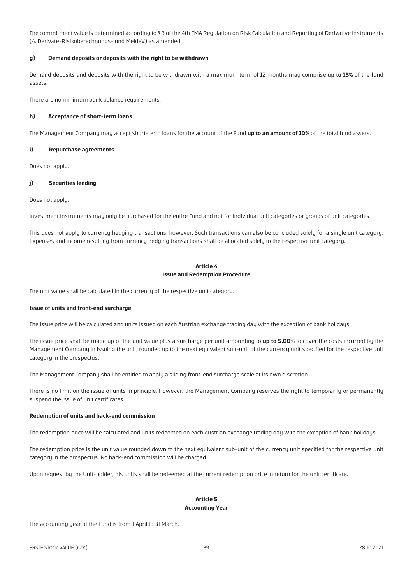The commitment value is determined according to § 3 of the 4th FMA Regulation on Risk Calculation and Reporting of Derivative Instruments (4. Derivate-Risikoberechnungs- und MeldeV) as amended.

#### **g) Demand deposits or deposits with the right to be withdrawn**

Demand deposits and deposits with the right to be withdrawn with a maximum term of 12 months may comprise **up to 15%** of the fund assets.

There are no minimum bank balance requirements.

#### **h) Acceptance of short-term loans**

The Management Company may accept short-term loans for the account of the Fund **up to an amount of 10%** of the total fund assets.

#### **i) Repurchase agreements**

Does not apply.

#### **j) Securities lending**

Does not apply.

Investment instruments may only be purchased for the entire Fund and not for individual unit categories or groups of unit categories.

This does not apply to currency hedging transactions, however. Such transactions can also be concluded solely for a single unit category. Expenses and income resulting from currency hedging transactions shall be allocated solely to the respective unit category.

#### **Article 4 Issue and Redemption Procedure**

The unit value shall be calculated in the currency of the respective unit category.

#### **Issue of units and front-end surcharge**

The issue price will be calculated and units issued on each Austrian exchange trading day with the exception of bank holidays.

The issue price shall be made up of the unit value plus a surcharge per unit amounting to **up to 5.00%** to cover the costs incurred by the Management Company in issuing the unit, rounded up to the next equivalent sub-unit of the currency unit specified for the respective unit category in the prospectus.

The Management Company shall be entitled to apply a sliding front-end surcharge scale at its own discretion.

There is no limit on the issue of units in principle. However, the Management Company reserves the right to temporarily or permanently suspend the issue of unit certificates.

#### **Redemption of units and back-end commission**

The redemption price will be calculated and units redeemed on each Austrian exchange trading day with the exception of bank holidays.

The redemption price is the unit value rounded down to the next equivalent sub-unit of the currency unit specified for the respective unit category in the prospectus. No back-end commission will be charged.

Upon request by the Unit-holder, his units shall be redeemed at the current redemption price in return for the unit certificate.

#### **Article 5 Accounting Year**

The accounting year of the Fund is from 1 April to 31 March.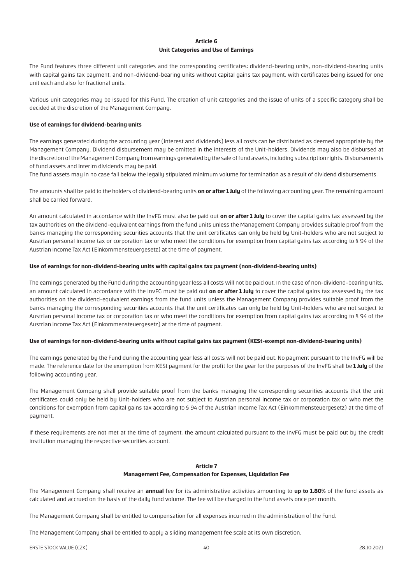#### **Article 6 Unit Categories and Use of Earnings**

The Fund features three different unit categories and the corresponding certificates: dividend-bearing units, non-dividend-bearing units with capital gains tax payment, and non-dividend-bearing units without capital gains tax payment, with certificates being issued for one unit each and also for fractional units.

Various unit categories may be issued for this Fund. The creation of unit categories and the issue of units of a specific category shall be decided at the discretion of the Management Company.

#### **Use of earnings for dividend-bearing units**

The earnings generated during the accounting year (interest and dividends) less all costs can be distributed as deemed appropriate by the Management Company. Dividend disbursement may be omitted in the interests of the Unit-holders. Dividends may also be disbursed at the discretion of the Management Company from earnings generated by the sale of fund assets, including subscription rights. Disbursements of fund assets and interim dividends may be paid.

The fund assets may in no case fall below the legally stipulated minimum volume for termination as a result of dividend disbursements.

The amounts shall be paid to the holders of dividend-bearing units **on or after 1 July** of the following accounting year. The remaining amount shall be carried forward.

An amount calculated in accordance with the InvFG must also be paid out **on or after 1 July** to cover the capital gains tax assessed by the tax authorities on the dividend-equivalent earnings from the fund units unless the Management Company provides suitable proof from the banks managing the corresponding securities accounts that the unit certificates can only be held by Unit-holders who are not subject to Austrian personal income tax or corporation tax or who meet the conditions for exemption from capital gains tax according to § 94 of the Austrian Income Tax Act (Einkommensteuergesetz) at the time of payment.

#### **Use of earnings for non-dividend-bearing units with capital gains tax payment (non-dividend-bearing units)**

The earnings generated by the Fund during the accounting year less all costs will not be paid out. In the case of non-dividend-bearing units, an amount calculated in accordance with the InvFG must be paid out **on or after 1 July** to cover the capital gains tax assessed by the tax authorities on the dividend-equivalent earnings from the fund units unless the Management Company provides suitable proof from the banks managing the corresponding securities accounts that the unit certificates can only be held by Unit-holders who are not subject to Austrian personal income tax or corporation tax or who meet the conditions for exemption from capital gains tax according to § 94 of the Austrian Income Tax Act (Einkommensteuergesetz) at the time of payment.

#### **Use of earnings for non-dividend-bearing units without capital gains tax payment (KESt-exempt non-dividend-bearing units)**

The earnings generated by the Fund during the accounting year less all costs will not be paid out. No payment pursuant to the InvFG will be made. The reference date for the exemption from KESt payment for the profit for the year for the purposes of the InvFG shall be **1 July** of the following accounting year.

The Management Company shall provide suitable proof from the banks managing the corresponding securities accounts that the unit certificates could only be held by Unit-holders who are not subject to Austrian personal income tax or corporation tax or who met the conditions for exemption from capital gains tax according to § 94 of the Austrian Income Tax Act (Einkommensteuergesetz) at the time of payment.

If these requirements are not met at the time of payment, the amount calculated pursuant to the InvFG must be paid out by the credit institution managing the respective securities account.

#### **Article 7**

#### **Management Fee, Compensation for Expenses, Liquidation Fee**

The Management Company shall receive an **annual** fee for its administrative activities amounting to **up to 1.80%** of the fund assets as calculated and accrued on the basis of the daily fund volume. The fee will be charged to the fund assets once per month.

The Management Company shall be entitled to compensation for all expenses incurred in the administration of the Fund.

The Management Company shall be entitled to apply a sliding management fee scale at its own discretion.

ERSTE STOCK VALUE (CZK) 40 28.10.2021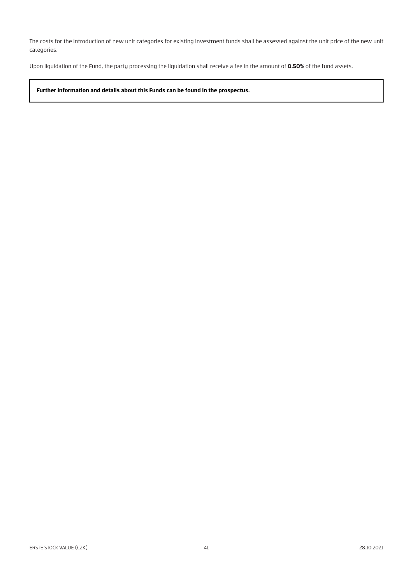The costs for the introduction of new unit categories for existing investment funds shall be assessed against the unit price of the new unit categories.

Upon liquidation of the Fund, the party processing the liquidation shall receive a fee in the amount of **0.50%** of the fund assets.

## **Further information and details about this Funds can be found in the prospectus.**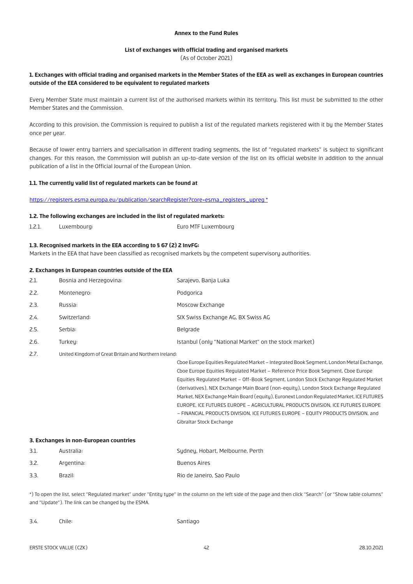#### **Annex to the Fund Rules**

#### **List of exchanges with official trading and organised markets**

(As of October 2021)

#### **1. Exchanges with official trading and organised markets in the Member States of the EEA as well as exchanges in European countries outside of the EEA considered to be equivalent to regulated markets**

Every Member State must maintain a current list of the authorised markets within its territory. This list must be submitted to the other Member States and the Commission.

According to this provision, the Commission is required to publish a list of the regulated markets registered with it by the Member States once per year.

Because of lower entry barriers and specialisation in different trading segments, the list of "regulated markets" is subject to significant changes. For this reason, the Commission will publish an up-to-date version of the list on its official website in addition to the annual publication of a list in the Official Journal of the European Union.

#### **1.1. The currently valid list of regulated markets can be found at**

[https://registers.esma.europa.eu/publication/searchRegister?core=esma\\_registers\\_upreg](https://registers.esma.europa.eu/publication/searchRegister?core=esma_registers_upreg) \*

#### **1.2. The following exchanges are included in the list of regulated markets:**

1.2.1. Luxembourg: Euro MTF Luxembourg

#### **1.3. Recognised markets in the EEA according to § 67 (2) 2 InvFG:**

Markets in the EEA that have been classified as recognised markets by the competent supervisory authorities.

| 2. Exchanges in European countries outside of the EEA |                                                       |                                                                                                                                                                                                                                                                                                                                                                                                                                                                                                                                                                                                                                                             |  |  |
|-------------------------------------------------------|-------------------------------------------------------|-------------------------------------------------------------------------------------------------------------------------------------------------------------------------------------------------------------------------------------------------------------------------------------------------------------------------------------------------------------------------------------------------------------------------------------------------------------------------------------------------------------------------------------------------------------------------------------------------------------------------------------------------------------|--|--|
| 2.1.                                                  | Bosnia and Herzegovina:                               | Sarajevo, Banja Luka                                                                                                                                                                                                                                                                                                                                                                                                                                                                                                                                                                                                                                        |  |  |
| 2.2.                                                  | Montenegro:                                           | Podgorica                                                                                                                                                                                                                                                                                                                                                                                                                                                                                                                                                                                                                                                   |  |  |
| 2.3.                                                  | Russia:                                               | Moscow Exchange                                                                                                                                                                                                                                                                                                                                                                                                                                                                                                                                                                                                                                             |  |  |
| 2.4.                                                  | Switzerland:                                          | SIX Swiss Exchange AG, BX Swiss AG                                                                                                                                                                                                                                                                                                                                                                                                                                                                                                                                                                                                                          |  |  |
| 2.5.                                                  | Serbia:                                               | Belgrade                                                                                                                                                                                                                                                                                                                                                                                                                                                                                                                                                                                                                                                    |  |  |
| 2.6.                                                  | Turkey:                                               | Istanbul (only "National Market" on the stock market)                                                                                                                                                                                                                                                                                                                                                                                                                                                                                                                                                                                                       |  |  |
| 2.7.                                                  | United Kingdom of Great Britain and Northern Ireland: | Cboe Europe Equities Regulated Market - Integrated Book Segment, London Metal Exchange,<br>Cboe Europe Equities Regulated Market - Reference Price Book Segment, Cboe Europe<br>Equities Regulated Market - Off-Book Segment, London Stock Exchange Regulated Market<br>(derivatives), NEX Exchange Main Board (non-equity), London Stock Exchange Regulated<br>Market, NEX Exchange Main Board (equity), Euronext London Regulated Market, ICE FUTURES<br>EUROPE, ICE FUTURES EUROPE - AGRICULTURAL PRODUCTS DIVISION, ICE FUTURES EUROPE<br>- FINANCIAL PRODUCTS DIVISION, ICE FUTURES EUROPE - EQUITY PRODUCTS DIVISION, and<br>Gibraltar Stock Exchange |  |  |
| 3. Exchanges in non-European countries                |                                                       |                                                                                                                                                                                                                                                                                                                                                                                                                                                                                                                                                                                                                                                             |  |  |
| 3.1.                                                  | Australia:                                            | Sydney, Hobart, Melbourne, Perth                                                                                                                                                                                                                                                                                                                                                                                                                                                                                                                                                                                                                            |  |  |
| 3.2.                                                  | Argentina:                                            | <b>Buenos Aires</b>                                                                                                                                                                                                                                                                                                                                                                                                                                                                                                                                                                                                                                         |  |  |
| 3.3.                                                  | Brazil:                                               | Rio de Janeiro, Sao Paulo                                                                                                                                                                                                                                                                                                                                                                                                                                                                                                                                                                                                                                   |  |  |

\*) To open the list, select "Regulated market" under "Entity type" in the column on the left side of the page and then click "Search" (or "Show table columns" and "Update"). The link can be changed by the ESMA.

3.4. Chile: Santiago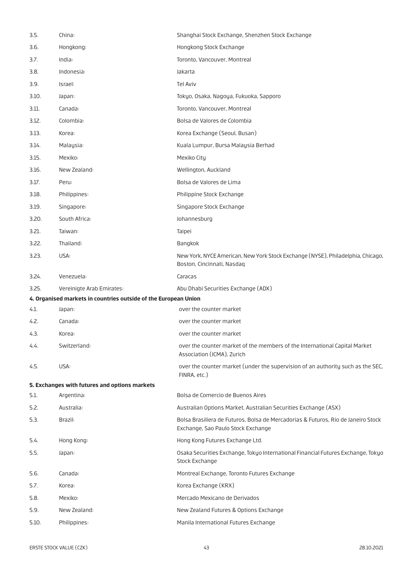| 3.5.  | China:                                                          | Shanghai Stock Exchange, Shenzhen Stock Exchange                                                                        |
|-------|-----------------------------------------------------------------|-------------------------------------------------------------------------------------------------------------------------|
| 3.6.  | Hongkong:                                                       | Hongkong Stock Exchange                                                                                                 |
| 3.7.  | India:                                                          | Toronto, Vancouver, Montreal                                                                                            |
| 3.8.  | Indonesia:                                                      | Jakarta                                                                                                                 |
| 3.9.  | Israel:                                                         | Tel Aviv                                                                                                                |
| 3.10. | Japan:                                                          | Tokyo, Osaka, Nagoya, Fukuoka, Sapporo                                                                                  |
| 3.11. | Canada:                                                         | Toronto, Vancouver, Montreal                                                                                            |
| 3.12. | Colombia:                                                       | Bolsa de Valores de Colombia                                                                                            |
| 3.13. | Korea:                                                          | Korea Exchange (Seoul, Busan)                                                                                           |
| 3.14. | Malaysia:                                                       | Kuala Lumpur, Bursa Malaysia Berhad                                                                                     |
| 3.15. | Mexiko:                                                         | Mexiko City                                                                                                             |
| 3.16. | New Zealand:                                                    | Wellington, Auckland                                                                                                    |
| 3.17. | Peru:                                                           | Bolsa de Valores de Lima                                                                                                |
| 3.18. | Philippines:                                                    | Philippine Stock Exchange                                                                                               |
| 3.19. | Singapore:                                                      | Singapore Stock Exchange                                                                                                |
| 3.20. | South Africa:                                                   | Johannesburg                                                                                                            |
| 3.21. | Taiwan:                                                         | Taipei                                                                                                                  |
| 3.22. | Thailand:                                                       | Bangkok                                                                                                                 |
| 3.23. | USA:                                                            | New York, NYCE American, New York Stock Exchange (NYSE), Philadelphia, Chicago,<br>Boston, Cincinnati, Nasdaq           |
| 3.24. | Venezuela:                                                      | Caracas                                                                                                                 |
| 3.25. | Vereinigte Arab Emirates:                                       | Abu Dhabi Securities Exchange (ADX)                                                                                     |
|       | 4. Organised markets in countries outside of the European Union |                                                                                                                         |
| 4.1.  | Japan:                                                          | over the counter market                                                                                                 |
| 4.2.  | Canada:                                                         | over the counter market                                                                                                 |
| 4.3.  | Korea:                                                          | over the counter market                                                                                                 |
| 4.4.  | Switzerland:                                                    | over the counter market of the members of the International Capital Market<br>Association (ICMA), Zurich                |
| 4.5.  | USA:                                                            | over the counter market (under the supervision of an authority such as the SEC,<br>FINRA, etc.)                         |
|       | 5. Exchanges with futures and options markets                   |                                                                                                                         |
| 5.1.  | Argentina:                                                      | Bolsa de Comercio de Buenos Aires                                                                                       |
| 5.2.  | Australia:                                                      | Australian Options Market, Australian Securities Exchange (ASX)                                                         |
| 5.3.  | Brazil:                                                         | Bolsa Brasiliera de Futuros, Bolsa de Mercadorias & Futuros, Rio de Janeiro Stock<br>Exchange, Sao Paulo Stock Exchange |
| 5.4.  | Hong Kong:                                                      | Hong Kong Futures Exchange Ltd.                                                                                         |
| 5.5.  | Japan:                                                          | Osaka Securities Exchange, Tokyo International Financial Futures Exchange, Tokyo<br><b>Stock Exchange</b>               |
| 5.6.  | Canada:                                                         | Montreal Exchange, Toronto Futures Exchange                                                                             |
| 5.7.  | Korea:                                                          | Korea Exchange (KRX)                                                                                                    |
| 5.8.  | Mexiko:                                                         | Mercado Mexicano de Derivados                                                                                           |
| 5.9.  | New Zealand:                                                    | New Zealand Futures & Options Exchange                                                                                  |
| 5.10. | Philippines:                                                    | Manila International Futures Exchange                                                                                   |